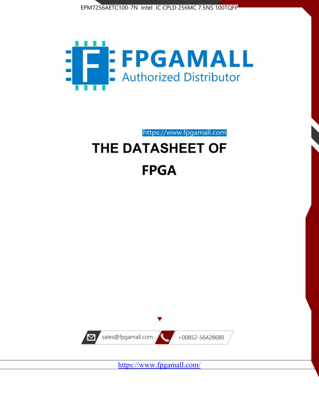



https://www.fpgamall.com THE DATASHEET OF

# **FPGA**



<https://www.fpgamall.com/>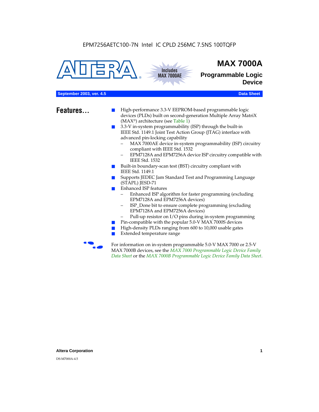**Includes MAX 7000AE**





**Programmable Logic Device**

#### **September 2003, ver. 4.5** Data Sheet

- **Features...** High-performance 3.3-V EEPROM-based programmable logic devices (PLDs) built on second-generation Multiple Array MatriX (MAX®) architecture (see Table 1)
	- 3.3-V in-system programmability (ISP) through the built-in IEEE Std. 1149.1 Joint Test Action Group (JTAG) interface with advanced pin-locking capability
		- MAX 7000AE device in-system programmability (ISP) circuitry compliant with IEEE Std. 1532
		- EPM7128A and EPM7256A device ISP circuitry compatible with IEEE Std. 1532
	- Built-in boundary-scan test (BST) circuitry compliant with IEEE Std. 1149.1
	- Supports JEDEC Jam Standard Test and Programming Language (STAPL) JESD-71
	- Enhanced ISP features
		- Enhanced ISP algorithm for faster programming (excluding EPM7128A and EPM7256A devices)
		- ISP\_Done bit to ensure complete programming (excluding EPM7128A and EPM7256A devices)
		- Pull-up resistor on I/O pins during in-system programming
	- Pin-compatible with the popular 5.0-V MAX 7000S devices
	- High-density PLDs ranging from 600 to 10,000 usable gates
	- Extended temperature range

For information on in-system programmable 5.0-V MAX 7000 or 2.5-V MAX 7000B devices, see the *MAX 7000 Programmable Logic Device Family Data Sheet* or the *MAX 7000B Programmable Logic Device Family Data Sheet*.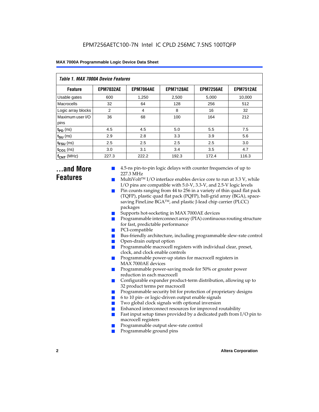| Table 1. MAX 7000A Device Features |                  |                  |                  |                  |                  |  |  |  |  |
|------------------------------------|------------------|------------------|------------------|------------------|------------------|--|--|--|--|
| <b>Feature</b>                     | <b>EPM7032AE</b> | <b>EPM7064AE</b> | <b>EPM7128AE</b> | <b>EPM7256AE</b> | <b>EPM7512AE</b> |  |  |  |  |
| Usable gates                       | 600              | 1,250            | 2,500            | 5,000            | 10,000           |  |  |  |  |
| Macrocells                         | 32               | 64               | 128              | 256              | 512              |  |  |  |  |
| Logic array blocks                 | 2                | 4                | 8                | 16               | 32               |  |  |  |  |
| Maximum user I/O<br>pins           | 36               | 68               | 100              | 164              | 212              |  |  |  |  |
| $t_{PD}$ (ns)                      | 4.5              | 4.5              | 5.0              | 5.5              | 7.5              |  |  |  |  |
| $t_{\text{SU}}$ (ns)               | 2.9              | 2.8              | 3.3              | 3.9              | 5.6              |  |  |  |  |
| $t_{\text{FSU}}$ (ns)              | 2.5              | 2.5              | 2.5              | 2.5              | 3.0              |  |  |  |  |
| $t_{CO1}$ (ns)                     | 3.0              | 3.1              | 3.4              | 3.5              | 4.7              |  |  |  |  |
| $f_{\text{CNT}}$ (MHz)             | 227.3            | 222.2            | 192.3            | 172.4            | 116.3            |  |  |  |  |

### **...and More Features**

- 4.5-ns pin-to-pin logic delays with counter frequencies of up to 227.3 MHz
- $Multivolt<sup>TM</sup> I/O interface enables device core to run at 3.3 V, while$ I/O pins are compatible with 5.0-V, 3.3-V, and 2.5-V logic levels
- Pin counts ranging from 44 to 256 in a variety of thin quad flat pack (TQFP), plastic quad flat pack (PQFP), ball-grid array (BGA), spacesaving FineLine BGATM, and plastic J-lead chip carrier (PLCC) packages
- Supports hot-socketing in MAX 7000AE devices
- Programmable interconnect array (PIA) continuous routing structure for fast, predictable performance
- PCI-compatible
- Bus-friendly architecture, including programmable slew-rate control
- Open-drain output option
- Programmable macrocell registers with individual clear, preset, clock, and clock enable controls
- Programmable power-up states for macrocell registers in MAX 7000AE devices
- Programmable power-saving mode for 50% or greater power reduction in each macrocell
- Configurable expander product-term distribution, allowing up to 32 product terms per macrocell
- Programmable security bit for protection of proprietary designs
- 6 to 10 pin- or logic-driven output enable signals
- Two global clock signals with optional inversion
- Enhanced interconnect resources for improved routability
- Fast input setup times provided by a dedicated path from  $I/O$  pin to macrocell registers
- Programmable output slew-rate control
- Programmable ground pins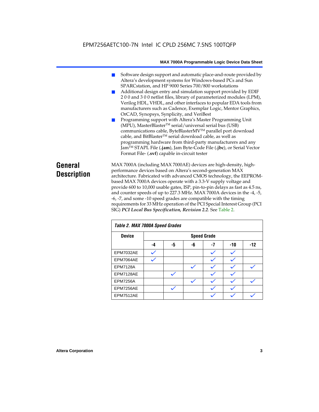### EPM7256AETC100-7N Intel IC CPLD 256MC 7.5NS 100TQFP

#### **MAX 7000A Programmable Logic Device Data Sheet**

- Software design support and automatic place-and-route provided by Altera's development systems for Windows-based PCs and Sun SPARCstation, and HP 9000 Series 700/800 workstations
- Additional design entry and simulation support provided by EDIF 2 0 0 and 3 0 0 netlist files, library of parameterized modules (LPM), Verilog HDL, VHDL, and other interfaces to popular EDA tools from manufacturers such as Cadence, Exemplar Logic, Mentor Graphics, OrCAD, Synopsys, Synplicity, and VeriBest
- Programming support with Altera's Master Programming Unit (MPU), MasterBlaster™ serial/universal serial bus (USB) communications cable, ByteBlasterMVTM parallel port download cable, and BitBlaster™ serial download cable, as well as programming hardware from third-party manufacturers and any JamTM STAPL File (**.jam**), Jam Byte-Code File (**.jbc**), or Serial Vector Format File- (**.svf**) capable in-circuit tester

### **General Description**

MAX 7000A (including MAX 7000AE) devices are high-density, highperformance devices based on Altera's second-generation MAX architecture. Fabricated with advanced CMOS technology, the EEPROMbased MAX 7000A devices operate with a 3.3-V supply voltage and provide 600 to 10,000 usable gates, ISP, pin-to-pin delays as fast as 4.5 ns, and counter speeds of up to 227.3 MHz. MAX 7000A devices in the -4, -5, -6, -7, and some -10 speed grades are compatible with the timing requirements for 33 MHz operation of the PCI Special Interest Group (PCI SIG) *PCI Local Bus Specification, Revision 2.2*. See Table 2.

| Table 2. MAX 7000A Speed Grades |    |                    |    |      |     |       |  |  |
|---------------------------------|----|--------------------|----|------|-----|-------|--|--|
| <b>Device</b>                   |    | <b>Speed Grade</b> |    |      |     |       |  |  |
|                                 | -4 | -5                 | -6 | $-7$ | -10 | $-12$ |  |  |
| EPM7032AE                       |    |                    |    |      |     |       |  |  |
| EPM7064AE                       |    |                    |    |      |     |       |  |  |
| <b>EPM7128A</b>                 |    |                    |    |      |     |       |  |  |
| EPM7128AE                       |    |                    |    |      |     |       |  |  |
| <b>EPM7256A</b>                 |    |                    |    |      |     |       |  |  |
| EPM7256AE                       |    |                    |    |      |     |       |  |  |
| EPM7512AE                       |    |                    |    |      |     |       |  |  |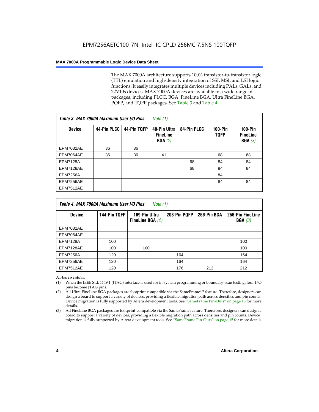The MAX 7000A architecture supports 100% transistor-to-transistor logic (TTL) emulation and high-density integration of SSI, MSI, and LSI logic functions. It easily integrates multiple devices including PALs, GALs, and 22V10s devices. MAX 7000A devices are available in a wide range of packages, including PLCC, BGA, FineLine BGA, Ultra FineLine BGA, PQFP, and TQFP packages. See Table 3 and Table 4.

| Table 3. MAX 7000A Maximum User I/O Pins |             |             | Note (1)                                  |             |                               |                                                  |
|------------------------------------------|-------------|-------------|-------------------------------------------|-------------|-------------------------------|--------------------------------------------------|
| <b>Device</b>                            | 44-Pin PLCC | 44-Pin TQFP | 49-Pin Ultra<br><b>FineLine</b><br>BGA(2) | 84-Pin PLCC | <b>100-Pin</b><br><b>TOFP</b> | $100-Pin$<br><b>FineLine</b><br><b>BGA</b> $(3)$ |
| EPM7032AE                                | 36          | 36          |                                           |             |                               |                                                  |
| EPM7064AE                                | 36          | 36          | 41                                        |             | 68                            | 68                                               |
| <b>EPM7128A</b>                          |             |             |                                           | 68          | 84                            | 84                                               |
| EPM7128AE                                |             |             |                                           | 68          | 84                            | 84                                               |
| <b>EPM7256A</b>                          |             |             |                                           |             | 84                            |                                                  |
| EPM7256AE                                |             |             |                                           |             | 84                            | 84                                               |
| <b>EPM7512AE</b>                         |             |             |                                           |             |                               |                                                  |

| Table 4. MAX 7000A Maximum User I/O Pins<br>Note (1) |              |                                     |              |             |                            |  |  |  |
|------------------------------------------------------|--------------|-------------------------------------|--------------|-------------|----------------------------|--|--|--|
| <b>Device</b>                                        | 144-Pin TQFP | 169-Pin Ultra<br>FineLine BGA $(2)$ | 208-Pin PQFP | 256-Pin BGA | 256-Pin FineLine<br>BGA(3) |  |  |  |
| EPM7032AE                                            |              |                                     |              |             |                            |  |  |  |
| EPM7064AE                                            |              |                                     |              |             |                            |  |  |  |
| <b>EPM7128A</b>                                      | 100          |                                     |              |             | 100                        |  |  |  |
| EPM7128AE                                            | 100          | 100                                 |              |             | 100                        |  |  |  |
| <b>EPM7256A</b>                                      | 120          |                                     | 164          |             | 164                        |  |  |  |
| EPM7256AE                                            | 120          |                                     | 164          |             | 164                        |  |  |  |
| EPM7512AE                                            | 120          |                                     | 176          | 212         | 212                        |  |  |  |

#### *Notes to tables:*

- (1) When the IEEE Std. 1149.1 (JTAG) interface is used for in-system programming or boundary-scan testing, four I/O pins become JTAG pins.
- (2) All Ultra FineLine BGA packages are footprint-compatible via the SameFrame<sup>TM</sup> feature. Therefore, designers can design a board to support a variety of devices, providing a flexible migration path across densities and pin counts. Device migration is fully supported by Altera development tools. See "SameFrame Pin-Outs" on page 15 for more details.
- (3) All FineLine BGA packages are footprint-compatible via the SameFrame feature. Therefore, designers can design a board to support a variety of devices, providing a flexible migration path across densities and pin counts. Device migration is fully supported by Altera development tools. See "SameFrame Pin-Outs" on page 15 for more details.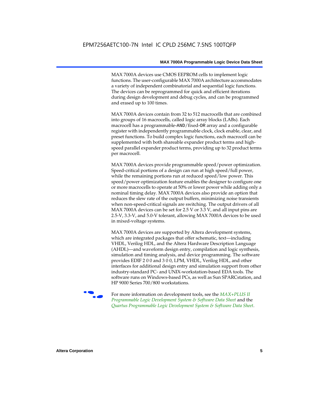MAX 7000A devices use CMOS EEPROM cells to implement logic functions. The user-configurable MAX 7000A architecture accommodates a variety of independent combinatorial and sequential logic functions. The devices can be reprogrammed for quick and efficient iterations during design development and debug cycles, and can be programmed and erased up to 100 times.

MAX 7000A devices contain from 32 to 512 macrocells that are combined into groups of 16 macrocells, called logic array blocks (LABs). Each macrocell has a programmable-AND/fixed-OR array and a configurable register with independently programmable clock, clock enable, clear, and preset functions. To build complex logic functions, each macrocell can be supplemented with both shareable expander product terms and highspeed parallel expander product terms, providing up to 32 product terms per macrocell.

MAX 7000A devices provide programmable speed/power optimization. Speed-critical portions of a design can run at high speed/full power, while the remaining portions run at reduced speed/low power. This speed/power optimization feature enables the designer to configure one or more macrocells to operate at 50% or lower power while adding only a nominal timing delay. MAX 7000A devices also provide an option that reduces the slew rate of the output buffers, minimizing noise transients when non-speed-critical signals are switching. The output drivers of all MAX 7000A devices can be set for 2.5 V or 3.3 V, and all input pins are 2.5-V, 3.3-V, and 5.0-V tolerant, allowing MAX 7000A devices to be used in mixed-voltage systems.

MAX 7000A devices are supported by Altera development systems, which are integrated packages that offer schematic, text—including VHDL, Verilog HDL, and the Altera Hardware Description Language (AHDL)—and waveform design entry, compilation and logic synthesis, simulation and timing analysis, and device programming. The software provides EDIF 2 0 0 and 3 0 0, LPM, VHDL, Verilog HDL, and other interfaces for additional design entry and simulation support from other industry-standard PC- and UNIX-workstation-based EDA tools. The software runs on Windows-based PCs, as well as Sun SPARCstation, and HP 9000 Series 700/800 workstations.

**For more information on development tools, see the** *MAX+PLUS II Programmable Logic Development System & Software Data Sheet* and the *Quartus Programmable Logic Development System & Software Data Sheet*.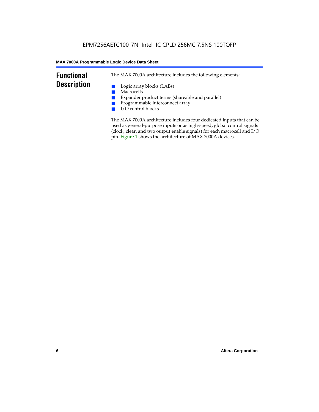### **Functional Description**

The MAX 7000A architecture includes the following elements:

- Logic array blocks (LABs)
- Macrocells
- Expander product terms (shareable and parallel)
- Programmable interconnect array
- I/O control blocks

The MAX 7000A architecture includes four dedicated inputs that can be used as general-purpose inputs or as high-speed, global control signals (clock, clear, and two output enable signals) for each macrocell and I/O pin. Figure 1 shows the architecture of MAX 7000A devices.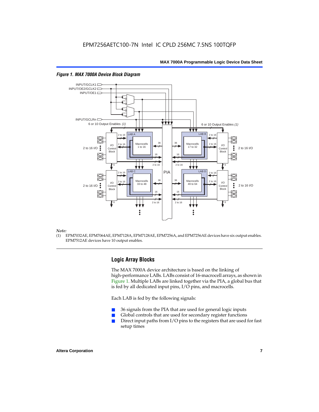

#### *Figure 1. MAX 7000A Device Block Diagram*

#### *Note:*

(1) EPM7032AE, EPM7064AE, EPM7128A, EPM7128AE, EPM7256A, and EPM7256AE devices have six output enables. EPM7512AE devices have 10 output enables.

#### **Logic Array Blocks**

The MAX 7000A device architecture is based on the linking of high-performance LABs. LABs consist of 16-macrocell arrays, as shown in Figure 1. Multiple LABs are linked together via the PIA, a global bus that is fed by all dedicated input pins, I/O pins, and macrocells.

Each LAB is fed by the following signals:

- 36 signals from the PIA that are used for general logic inputs
- Global controls that are used for secondary register functions
- Direct input paths from  $I/O$  pins to the registers that are used for fast setup times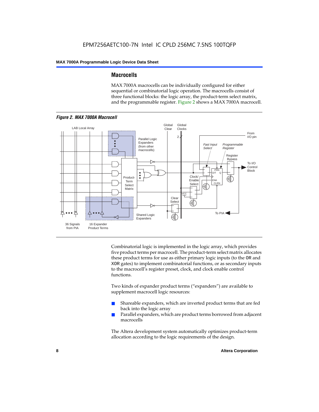#### **Macrocells**

MAX 7000A macrocells can be individually configured for either sequential or combinatorial logic operation. The macrocells consist of three functional blocks: the logic array, the product-term select matrix, and the programmable register. Figure 2 shows a MAX 7000A macrocell.



Combinatorial logic is implemented in the logic array, which provides five product terms per macrocell. The product-term select matrix allocates these product terms for use as either primary logic inputs (to the OR and XOR gates) to implement combinatorial functions, or as secondary inputs to the macrocell's register preset, clock, and clock enable control functions.

Two kinds of expander product terms ("expanders") are available to supplement macrocell logic resources:

- Shareable expanders, which are inverted product terms that are fed back into the logic array
- Parallel expanders, which are product terms borrowed from adjacent macrocells

The Altera development system automatically optimizes product-term allocation according to the logic requirements of the design.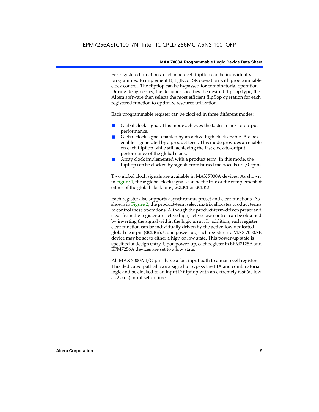For registered functions, each macrocell flipflop can be individually programmed to implement D, T, JK, or SR operation with programmable clock control. The flipflop can be bypassed for combinatorial operation. During design entry, the designer specifies the desired flipflop type; the Altera software then selects the most efficient flipflop operation for each registered function to optimize resource utilization.

Each programmable register can be clocked in three different modes:

- Global clock signal. This mode achieves the fastest clock-to-output performance.
- Global clock signal enabled by an active-high clock enable. A clock enable is generated by a product term. This mode provides an enable on each flipflop while still achieving the fast clock-to-output performance of the global clock.
- Array clock implemented with a product term. In this mode, the flipflop can be clocked by signals from buried macrocells or I/O pins.

Two global clock signals are available in MAX 7000A devices. As shown in Figure 1, these global clock signals can be the true or the complement of either of the global clock pins, GCLK1 or GCLK2.

Each register also supports asynchronous preset and clear functions. As shown in Figure 2, the product-term select matrix allocates product terms to control these operations. Although the product-term-driven preset and clear from the register are active high, active-low control can be obtained by inverting the signal within the logic array. In addition, each register clear function can be individually driven by the active-low dedicated global clear pin (GCLRn). Upon power-up, each register in a MAX 7000AE device may be set to either a high or low state. This power-up state is specified at design entry. Upon power-up, each register in EPM7128A and EPM7256A devices are set to a low state.

All MAX 7000A I/O pins have a fast input path to a macrocell register. This dedicated path allows a signal to bypass the PIA and combinatorial logic and be clocked to an input D flipflop with an extremely fast (as low as 2.5 ns) input setup time.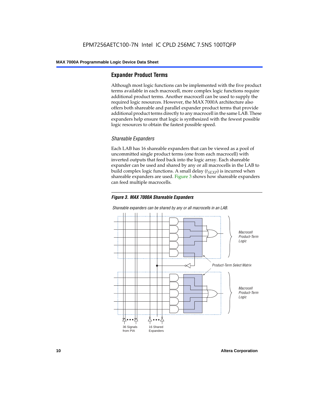#### **Expander Product Terms**

Although most logic functions can be implemented with the five product terms available in each macrocell, more complex logic functions require additional product terms. Another macrocell can be used to supply the required logic resources. However, the MAX 7000A architecture also offers both shareable and parallel expander product terms that provide additional product terms directly to any macrocell in the same LAB. These expanders help ensure that logic is synthesized with the fewest possible logic resources to obtain the fastest possible speed.

#### *Shareable Expanders*

Each LAB has 16 shareable expanders that can be viewed as a pool of uncommitted single product terms (one from each macrocell) with inverted outputs that feed back into the logic array. Each shareable expander can be used and shared by any or all macrocells in the LAB to build complex logic functions. A small delay  $(t_{SFXP})$  is incurred when shareable expanders are used. Figure 3 shows how shareable expanders can feed multiple macrocells.



**Macrocell** Product-Term Logic Product-Term Select Matrix **Macrocell** Product-Term Logic 36 Signals from PIA 16 Shared Expanders

*Shareable expanders can be shared by any or all macrocells in an LAB.*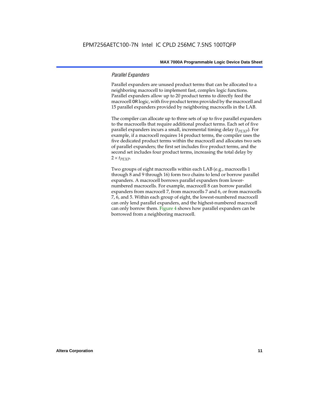#### *Parallel Expanders*

Parallel expanders are unused product terms that can be allocated to a neighboring macrocell to implement fast, complex logic functions. Parallel expanders allow up to 20 product terms to directly feed the macrocell OR logic, with five product terms provided by the macrocell and 15 parallel expanders provided by neighboring macrocells in the LAB.

The compiler can allocate up to three sets of up to five parallel expanders to the macrocells that require additional product terms. Each set of five parallel expanders incurs a small, incremental timing delay (*t<sub>PEXP</sub>*). For example, if a macrocell requires 14 product terms, the compiler uses the five dedicated product terms within the macrocell and allocates two sets of parallel expanders; the first set includes five product terms, and the second set includes four product terms, increasing the total delay by  $2 \times t_{PEXP}$ .

Two groups of eight macrocells within each LAB (e.g., macrocells 1 through 8 and 9 through 16) form two chains to lend or borrow parallel expanders. A macrocell borrows parallel expanders from lowernumbered macrocells. For example, macrocell 8 can borrow parallel expanders from macrocell 7, from macrocells 7 and 6, or from macrocells 7, 6, and 5. Within each group of eight, the lowest-numbered macrocell can only lend parallel expanders, and the highest-numbered macrocell can only borrow them. Figure 4 shows how parallel expanders can be borrowed from a neighboring macrocell.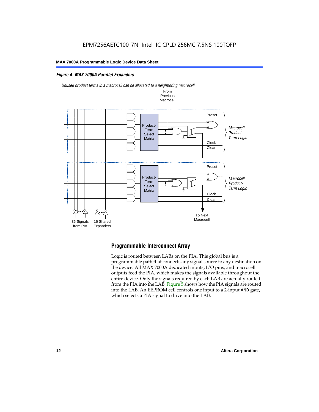#### *Figure 4. MAX 7000A Parallel Expanders*



*Unused product terms in a macrocell can be allocated to a neighboring macrocell.*

#### **Programmable Interconnect Array**

Logic is routed between LABs on the PIA. This global bus is a programmable path that connects any signal source to any destination on the device. All MAX 7000A dedicated inputs, I/O pins, and macrocell outputs feed the PIA, which makes the signals available throughout the entire device. Only the signals required by each LAB are actually routed from the PIA into the LAB. Figure 5 shows how the PIA signals are routed into the LAB. An EEPROM cell controls one input to a 2-input AND gate, which selects a PIA signal to drive into the LAB.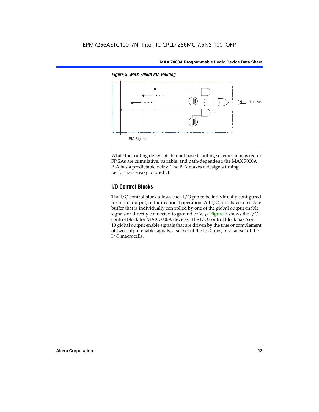

While the routing delays of channel-based routing schemes in masked or FPGAs are cumulative, variable, and path-dependent, the MAX 7000A PIA has a predictable delay. The PIA makes a design's timing performance easy to predict.

#### **I/O Control Blocks**

The I/O control block allows each I/O pin to be individually configured for input, output, or bidirectional operation. All I/O pins have a tri-state buffer that is individually controlled by one of the global output enable signals or directly connected to ground or  $V_{CC}$ . Figure 6 shows the I/O control block for MAX 7000A devices. The I/O control block has 6 or 10 global output enable signals that are driven by the true or complement of two output enable signals, a subset of the I/O pins, or a subset of the I/O macrocells.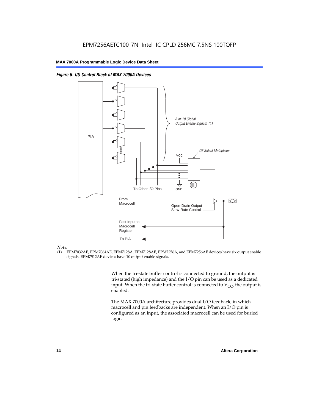

*Figure 6. I/O Control Block of MAX 7000A Devices*

#### *Note:*

(1) EPM7032AE, EPM7064AE, EPM7128A, EPM7128AE, EPM7256A, and EPM7256AE devices have six output enable signals. EPM7512AE devices have 10 output enable signals.

> When the tri-state buffer control is connected to ground, the output is tri-stated (high impedance) and the I/O pin can be used as a dedicated input. When the tri-state buffer control is connected to  $V_{CC}$ , the output is enabled.

The MAX 7000A architecture provides dual I/O feedback, in which macrocell and pin feedbacks are independent. When an I/O pin is configured as an input, the associated macrocell can be used for buried logic.

交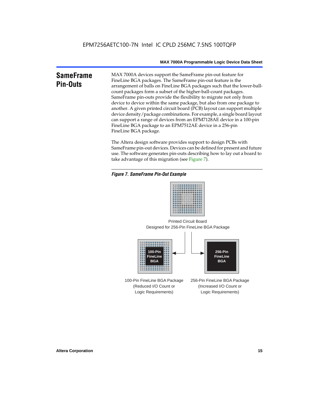#### **SameFrame Pin-Outs** MAX 7000A devices support the SameFrame pin-out feature for FineLine BGA packages. The SameFrame pin-out feature is the arrangement of balls on FineLine BGA packages such that the lower-ballcount packages form a subset of the higher-ball-count packages. SameFrame pin-outs provide the flexibility to migrate not only from device to device within the same package, but also from one package to another. A given printed circuit board (PCB) layout can support multiple device density/package combinations. For example, a single board layout can support a range of devices from an EPM7128AE device in a 100-pin FineLine BGA package to an EPM7512AE device in a 256-pin FineLine BGA package.

The Altera design software provides support to design PCBs with SameFrame pin-out devices. Devices can be defined for present and future use. The software generates pin-outs describing how to lay out a board to take advantage of this migration (see Figure 7).

#### *Figure 7. SameFrame Pin-Out Example*



Designed for 256-Pin FineLine BGA Package Printed Circuit Board



100-Pin FineLine BGA Package (Reduced I/O Count or Logic Requirements) 256-Pin FineLine BGA Package (Increased I/O Count or Logic Requirements)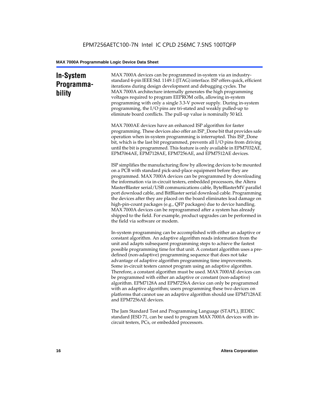### **In-System Programmability**

MAX 7000A devices can be programmed in-system via an industrystandard 4-pin IEEE Std. 1149.1 (JTAG) interface. ISP offers quick, efficient iterations during design development and debugging cycles. The MAX 7000A architecture internally generates the high programming voltages required to program EEPROM cells, allowing in-system programming with only a single 3.3-V power supply. During in-system programming, the I/O pins are tri-stated and weakly pulled-up to eliminate board conflicts. The pull-up value is nominally 50 k $\Omega$ .

MAX 7000AE devices have an enhanced ISP algorithm for faster programming. These devices also offer an ISP\_Done bit that provides safe operation when in-system programming is interrupted. This ISP\_Done bit, which is the last bit programmed, prevents all I/O pins from driving until the bit is programmed. This feature is only available in EPM7032AE, EPM7064AE, EPM7128AE, EPM7256AE, and EPM7512AE devices.

ISP simplifies the manufacturing flow by allowing devices to be mounted on a PCB with standard pick-and-place equipment before they are programmed. MAX 7000A devices can be programmed by downloading the information via in-circuit testers, embedded processors, the Altera MasterBlaster serial/USB communications cable, ByteBlasterMV parallel port download cable, and BitBlaster serial download cable. Programming the devices after they are placed on the board eliminates lead damage on high-pin-count packages (e.g., QFP packages) due to device handling. MAX 7000A devices can be reprogrammed after a system has already shipped to the field. For example, product upgrades can be performed in the field via software or modem.

In-system programming can be accomplished with either an adaptive or constant algorithm. An adaptive algorithm reads information from the unit and adapts subsequent programming steps to achieve the fastest possible programming time for that unit. A constant algorithm uses a predefined (non-adaptive) programming sequence that does not take advantage of adaptive algorithm programming time improvements. Some in-circuit testers cannot program using an adaptive algorithm. Therefore, a constant algorithm must be used. MAX 7000AE devices can be programmed with either an adaptive or constant (non-adaptive) algorithm. EPM7128A and EPM7256A device can only be programmed with an adaptive algorithm; users programming these two devices on platforms that cannot use an adaptive algorithm should use EPM7128AE and EPM7256AE devices.

The Jam Standard Test and Programming Language (STAPL), JEDEC standard JESD 71, can be used to program MAX 7000A devices with incircuit testers, PCs, or embedded processors.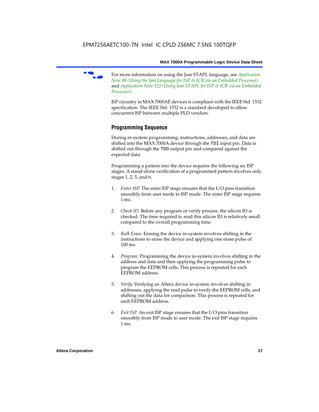

f For more information on using the Jam STAPL language, see *Application Note 88 (Using the Jam Language for ISP & ICR via an Embedded Processor)*  and *Application Note 122 (Using Jam STAPL for ISP & ICR via an Embedded Processor)*.

ISP circuitry in MAX 7000AE devices is compliant with the IEEE Std. 1532 specification. The IEEE Std. 1532 is a standard developed to allow concurrent ISP between multiple PLD vendors.

#### **Programming Sequence**

During in-system programming, instructions, addresses, and data are shifted into the MAX 7000A device through the TDI input pin. Data is shifted out through the TDO output pin and compared against the expected data.

Programming a pattern into the device requires the following six ISP stages. A stand-alone verification of a programmed pattern involves only stages 1, 2, 5, and 6.

- 1. *Enter ISP*. The enter ISP stage ensures that the I/O pins transition smoothly from user mode to ISP mode. The enter ISP stage requires 1 ms.
- 2. *Check ID*. Before any program or verify process, the silicon ID is checked. The time required to read this silicon ID is relatively small compared to the overall programming time.
- 3. *Bulk Erase*. Erasing the device in-system involves shifting in the instructions to erase the device and applying one erase pulse of 100 ms.
- 4. *Program*. Programming the device in-system involves shifting in the address and data and then applying the programming pulse to program the EEPROM cells. This process is repeated for each EEPROM address.
- 5. *Verify*. Verifying an Altera device in-system involves shifting in addresses, applying the read pulse to verify the EEPROM cells, and shifting out the data for comparison. This process is repeated for each EEPROM address.
- 6. *Exit ISP*. An exit ISP stage ensures that the I/O pins transition smoothly from ISP mode to user mode. The exit ISP stage requires 1 ms.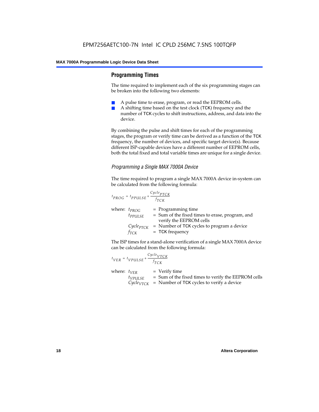#### **Programming Times**

The time required to implement each of the six programming stages can be broken into the following two elements:

- A pulse time to erase, program, or read the EEPROM cells.
- A shifting time based on the test clock (TCK) frequency and the number of TCK cycles to shift instructions, address, and data into the device.

By combining the pulse and shift times for each of the programming stages, the program or verify time can be derived as a function of the TCK frequency, the number of devices, and specific target device(s). Because different ISP-capable devices have a different number of EEPROM cells, both the total fixed and total variable times are unique for a single device.

#### *Programming a Single MAX 7000A Device*

The time required to program a single MAX 7000A device in-system can be calculated from the following formula:

$$
t_{PROG} = t_{PPULSE} + \frac{c_{ycle_{PTCK}}}{f_{TCK}}
$$
  
where:  $t_{PROG}$  = Programming time  
 $t_{PPULSE}$  = Sum of the fixed times to erase, program, and  
verify the EEPROM cells  
 $C_{ycle_{PTCK}}$  = Number of TCK cycles to program a device  
 $f_{TCK}$  = TCK frequency

The ISP times for a stand-alone verification of a single MAX 7000A device can be calculated from the following formula:

| $t_{VER} = t_{VPULSE} + \frac{Cycle_{VTCK}}{f_{TCK}}$ |                                                                                                                                    |
|-------------------------------------------------------|------------------------------------------------------------------------------------------------------------------------------------|
| where: $t_{VFR}$<br>$t_{VPULSE}$                      | $=$ Verify time<br>= Sum of the fixed times to verify the EEPROM cells<br>$Cycle_{VTCK}$ = Number of TCK cycles to verify a device |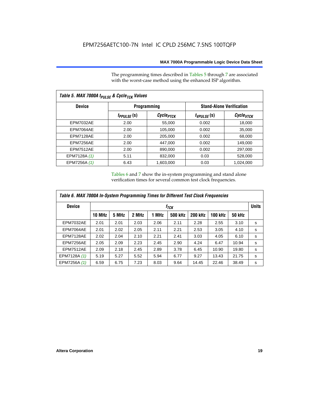The programming times described in Tables 5 through 7 are associated with the worst-case method using the enhanced ISP algorithm.

| Table 5. MAX 7000A t <sub>PULSE</sub> & Cycle <sub>TCK</sub> Values |                 |                       |                 |                                 |  |  |  |  |
|---------------------------------------------------------------------|-----------------|-----------------------|-----------------|---------------------------------|--|--|--|--|
| <b>Device</b>                                                       |                 | <b>Programming</b>    |                 | <b>Stand-Alone Verification</b> |  |  |  |  |
|                                                                     | $t_{PPULSE}(s)$ | Cycle <sub>PTCK</sub> | $t_{VPULSE}(s)$ | $\mathcal C$ ycle $_{VTCK}$     |  |  |  |  |
| <b>EPM7032AE</b>                                                    | 2.00            | 55.000                | 0.002           | 18.000                          |  |  |  |  |
| EPM7064AE                                                           | 2.00            | 105,000               | 0.002           | 35,000                          |  |  |  |  |
| EPM7128AE                                                           | 2.00            | 205,000               | 0.002           | 68,000                          |  |  |  |  |
| EPM7256AE                                                           | 2.00            | 447,000               | 0.002           | 149.000                         |  |  |  |  |
| <b>EPM7512AE</b>                                                    | 2.00            | 890,000               | 0.002           | 297,000                         |  |  |  |  |
| EPM7128A (1)                                                        | 5.11            | 832.000               | 0.03            | 528,000                         |  |  |  |  |
| EPM7256A (1)                                                        | 6.43            | 1,603,000             | 0.03            | 1,024,000                       |  |  |  |  |

Tables 6 and 7 show the in-system programming and stand alone verification times for several common test clock frequencies.

| Table 6. MAX 7000A In-System Programming Times for Different Test Clock Frequencies |               |                  |       |       |         |                |                |               |   |
|-------------------------------------------------------------------------------------|---------------|------------------|-------|-------|---------|----------------|----------------|---------------|---|
| <b>Device</b>                                                                       |               | f <sub>ТСК</sub> |       |       |         |                |                |               |   |
|                                                                                     | <b>10 MHz</b> | 5 MHz            | 2 MHz | 1 MHz | 500 kHz | <b>200 kHz</b> | <b>100 kHz</b> | <b>50 kHz</b> |   |
| <b>EPM7032AE</b>                                                                    | 2.01          | 2.01             | 2.03  | 2.06  | 2.11    | 2.28           | 2.55           | 3.10          | s |
| EPM7064AE                                                                           | 2.01          | 2.02             | 2.05  | 2.11  | 2.21    | 2.53           | 3.05           | 4.10          | s |
| EPM7128AE                                                                           | 2.02          | 2.04             | 2.10  | 2.21  | 2.41    | 3.03           | 4.05           | 6.10          | s |
| EPM7256AE                                                                           | 2.05          | 2.09             | 2.23  | 2.45  | 2.90    | 4.24           | 6.47           | 10.94         | s |
| <b>EPM7512AE</b>                                                                    | 2.09          | 2.18             | 2.45  | 2.89  | 3.78    | 6.45           | 10.90          | 19.80         | s |
| EPM7128A (1)                                                                        | 5.19          | 5.27             | 5.52  | 5.94  | 6.77    | 9.27           | 13.43          | 21.75         | s |
| EPM7256A (1)                                                                        | 6.59          | 6.75             | 7.23  | 8.03  | 9.64    | 14.45          | 22.46          | 38.49         | s |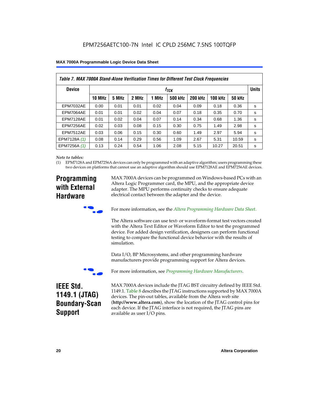|  | <b>MAX 7000A Programmable Logic Device Data Sheet</b> |  |  |  |  |
|--|-------------------------------------------------------|--|--|--|--|
|--|-------------------------------------------------------|--|--|--|--|

| Table 7. MAX 7000A Stand-Alone Verification Times for Different Test Clock Frequencies |               |                           |       |       |                |                |                |               |   |
|----------------------------------------------------------------------------------------|---------------|---------------------------|-------|-------|----------------|----------------|----------------|---------------|---|
| <b>Device</b>                                                                          |               | <b>Units</b><br>$f_{TCK}$ |       |       |                |                |                |               |   |
|                                                                                        | <b>10 MHz</b> | 5 MHz                     | 2 MHz | 1 MHz | <b>500 kHz</b> | <b>200 kHz</b> | <b>100 kHz</b> | <b>50 kHz</b> |   |
| <b>EPM7032AE</b>                                                                       | 0.00          | 0.01                      | 0.01  | 0.02  | 0.04           | 0.09           | 0.18           | 0.36          | s |
| <b>EPM7064AE</b>                                                                       | 0.01          | 0.01                      | 0.02  | 0.04  | 0.07           | 0.18           | 0.35           | 0.70          | s |
| EPM7128AE                                                                              | 0.01          | 0.02                      | 0.04  | 0.07  | 0.14           | 0.34           | 0.68           | 1.36          | s |
| EPM7256AE                                                                              | 0.02          | 0.03                      | 0.08  | 0.15  | 0.30           | 0.75           | 1.49           | 2.98          | S |
| <b>EPM7512AE</b>                                                                       | 0.03          | 0.06                      | 0.15  | 0.30  | 0.60           | 1.49           | 2.97           | 5.94          | s |
| EPM7128A (1)                                                                           | 0.08          | 0.14                      | 0.29  | 0.56  | 1.09           | 2.67           | 5.31           | 10.59         | s |
| EPM7256A (1)                                                                           | 0.13          | 0.24                      | 0.54  | 1.06  | 2.08           | 5.15           | 10.27          | 20.51         | s |

#### *Note to tables:*

(1) EPM7128A and EPM7256A devices can only be programmed with an adaptive algorithm; users programming these two devices on platforms that cannot use an adaptive algorithm should use EPM7128AE and EPM7256AE devices.

### **Programming with External Hardware**

MAX 7000A devices can be programmed on Windows-based PCs with an Altera Logic Programmer card, the MPU, and the appropriate device adapter. The MPU performs continuity checks to ensure adequate electrical contact between the adapter and the device.



For more information, see the *Altera Programming Hardware Data Sheet*.

The Altera software can use text- or waveform-format test vectors created with the Altera Text Editor or Waveform Editor to test the programmed device. For added design verification, designers can perform functional testing to compare the functional device behavior with the results of simulation.

Data I/O, BP Microsystems, and other programming hardware manufacturers provide programming support for Altera devices.



For more information, see *Programming Hardware Manufacturers*.

### **IEEE Std. 1149.1 (JTAG) Boundary-Scan Support**

MAX 7000A devices include the JTAG BST circuitry defined by IEEE Std. 1149.1. Table 8 describes the JTAG instructions supported by MAX 7000A devices. The pin-out tables, available from the Altera web site (**http://www.altera.com**), show the location of the JTAG control pins for each device. If the JTAG interface is not required, the JTAG pins are available as user I/O pins.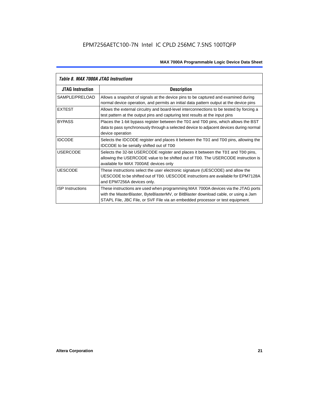| Table 8. MAX 7000A JTAG Instructions |                                                                                                                                                                                                                                                            |  |  |  |  |  |
|--------------------------------------|------------------------------------------------------------------------------------------------------------------------------------------------------------------------------------------------------------------------------------------------------------|--|--|--|--|--|
| <b>JTAG Instruction</b>              | <b>Description</b>                                                                                                                                                                                                                                         |  |  |  |  |  |
| SAMPLE/PRELOAD                       | Allows a snapshot of signals at the device pins to be captured and examined during<br>normal device operation, and permits an initial data pattern output at the device pins                                                                               |  |  |  |  |  |
| <b>EXTEST</b>                        | Allows the external circuitry and board-level interconnections to be tested by forcing a<br>test pattern at the output pins and capturing test results at the input pins                                                                                   |  |  |  |  |  |
| <b>BYPASS</b>                        | Places the 1-bit bypass register between the TDI and TDO pins, which allows the BST<br>data to pass synchronously through a selected device to adjacent devices during normal<br>device operation                                                          |  |  |  |  |  |
| <b>IDCODE</b>                        | Selects the IDCODE register and places it between the TDI and TDO pins, allowing the<br><b>IDCODE</b> to be serially shifted out of TDO                                                                                                                    |  |  |  |  |  |
| <b>USERCODE</b>                      | Selects the 32-bit USERCODE register and places it between the TDI and TDO pins,<br>allowing the USERCODE value to be shifted out of TDO. The USERCODE instruction is<br>available for MAX 7000AE devices only                                             |  |  |  |  |  |
| <b>UESCODE</b>                       | These instructions select the user electronic signature (UESCODE) and allow the<br>UESCODE to be shifted out of TDO, UESCODE instructions are available for EPM7128A<br>and EPM7256A devices only.                                                         |  |  |  |  |  |
| <b>ISP Instructions</b>              | These instructions are used when programming MAX 7000A devices via the JTAG ports<br>with the MasterBlaster, ByteBlasterMV, or BitBlaster download cable, or using a Jam<br>STAPL File, JBC File, or SVF File via an embedded processor or test equipment. |  |  |  |  |  |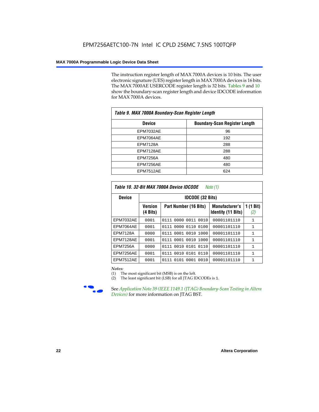The instruction register length of MAX 7000A devices is 10 bits. The user electronic signature (UES) register length in MAX 7000A devices is 16 bits. The MAX 7000AE USERCODE register length is 32 bits. Tables 9 and 10 show the boundary-scan register length and device IDCODE information for MAX 7000A devices.

| Table 9. MAX 7000A Boundary-Scan Register Length |                                      |  |  |  |  |
|--------------------------------------------------|--------------------------------------|--|--|--|--|
| <b>Device</b>                                    | <b>Boundary-Scan Register Length</b> |  |  |  |  |
| <b>EPM7032AE</b>                                 | 96                                   |  |  |  |  |
| EPM7064AE                                        | 192                                  |  |  |  |  |
| <b>EPM7128A</b>                                  | 288                                  |  |  |  |  |
| EPM7128AE                                        | 288                                  |  |  |  |  |
| <b>EPM7256A</b>                                  | 480                                  |  |  |  |  |
| EPM7256AE                                        | 480                                  |  |  |  |  |
| EPM7512AE                                        | 624                                  |  |  |  |  |

| Table 10. 32-Bit MAX 7000A Device IDCODE<br>Note $(1)$ |                                      |                              |                                                    |                               |  |  |  |  |  |  |
|--------------------------------------------------------|--------------------------------------|------------------------------|----------------------------------------------------|-------------------------------|--|--|--|--|--|--|
| <b>Device</b>                                          |                                      | <b>IDCODE (32 Bits)</b>      |                                                    |                               |  |  |  |  |  |  |
|                                                        | <b>Version</b><br>$(4 \text{ Bits})$ | Part Number (16 Bits)        | <b>Manufacturer's</b><br><b>Identity (11 Bits)</b> | $(1 \text{ Bit})$<br>1<br>(2) |  |  |  |  |  |  |
| <b>EPM7032AE</b>                                       | 0001                                 | 0111<br>0000<br>0011<br>0010 | 00001101110                                        | $\mathbf{1}$                  |  |  |  |  |  |  |
| EPM7064AE                                              | 0001                                 | 0000 0110<br>0100<br>0111    | 00001101110                                        | 1                             |  |  |  |  |  |  |
| <b>EPM7128A</b>                                        | 0000                                 | 0111 0001 0010 1000          | 00001101110                                        | $\mathbf{1}$                  |  |  |  |  |  |  |
| EPM7128AE                                              | 0001                                 | 0111 0001 0010 1000          | 00001101110                                        | $\mathbf{1}$                  |  |  |  |  |  |  |
| EPM7256A                                               | 0000                                 | 0111 0010 0101 0110          | 00001101110                                        | 1                             |  |  |  |  |  |  |
| EPM7256AE                                              | 0001                                 | 0010 0101<br>0110<br>0111    | 00001101110                                        | $\mathbf{1}$                  |  |  |  |  |  |  |
| <b>EPM7512AE</b>                                       | 0001                                 | 0101 0001<br>0111<br>0010    | 00001101110                                        | $\mathbf{1}$                  |  |  |  |  |  |  |

#### *Notes:*

(1) The most significant bit (MSB) is on the left.

(2) The least significant bit (LSB) for all JTAG IDCODEs is 1.



**Figure 39 (IEEE 1149.1 (JTAG) Boundary-Scan Testing in Altera** *Devices)* for more information on JTAG BST.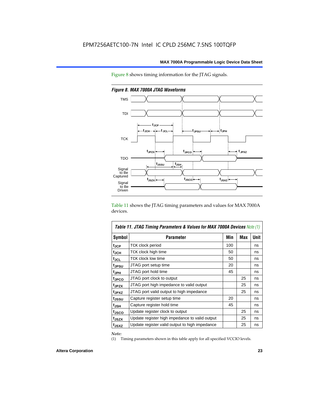



*Figure 8. MAX 7000A JTAG Waveforms*

Table 11 shows the JTAG timing parameters and values for MAX 7000A devices.

| <b>Table 11. JTAG Timing Parameters &amp; Values for MAX 7000A Devices Note (1)</b> |                                                |     |     |      |  |  |  |  |
|-------------------------------------------------------------------------------------|------------------------------------------------|-----|-----|------|--|--|--|--|
| Symbol                                                                              | <b>Parameter</b>                               | Min | Max | Unit |  |  |  |  |
| t <sub>JCP</sub>                                                                    | TCK clock period                               | 100 |     | ns   |  |  |  |  |
| t <sub>JCH</sub>                                                                    | TCK clock high time                            | 50  |     | ns   |  |  |  |  |
| tjcl                                                                                | TCK clock low time                             | 50  |     | ns   |  |  |  |  |
| tjpsu                                                                               | JTAG port setup time                           | 20  |     | ns   |  |  |  |  |
| t <sub>JPH</sub>                                                                    | JTAG port hold time                            | 45  |     | ns   |  |  |  |  |
| tjpco                                                                               | JTAG port clock to output                      |     | 25  | ns   |  |  |  |  |
| t <sub>JPZX</sub>                                                                   | JTAG port high impedance to valid output       |     | 25  | ns   |  |  |  |  |
| t <sub>JPXZ</sub>                                                                   | JTAG port valid output to high impedance       |     | 25  | ns   |  |  |  |  |
| tjssu                                                                               | Capture register setup time                    | 20  |     | ns   |  |  |  |  |
| t <sub>JSH</sub>                                                                    | Capture register hold time                     | 45  |     | ns   |  |  |  |  |
| t <sub>JSCO</sub>                                                                   | Update register clock to output                |     | 25  | ns   |  |  |  |  |
| t <sub>JSZX</sub>                                                                   | Update register high impedance to valid output |     | 25  | ns   |  |  |  |  |
| t <sub>JSXZ</sub>                                                                   | Update register valid output to high impedance |     | 25  | ns   |  |  |  |  |

*Note:*

(1) Timing parameters shown in this table apply for all specified VCCIO levels.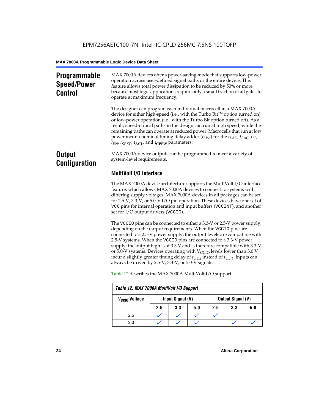### **Programmable Speed/Power Control**

MAX 7000A devices offer a power-saving mode that supports low-power operation across user-defined signal paths or the entire device. This feature allows total power dissipation to be reduced by 50% or more because most logic applications require only a small fraction of all gates to operate at maximum frequency.

The designer can program each individual macrocell in a MAX 7000A device for either high-speed (i.e., with the Turbo  $Bit^{TM}$  option turned on) or low-power operation (i.e., with the Turbo Bit option turned off). As a result, speed-critical paths in the design can run at high speed, while the remaining paths can operate at reduced power. Macrocells that run at low power incur a nominal timing delay adder (*tLPA*) for the *tLAD*, *tLAC*, *tIC*,  $t_{EN}$ ,  $t_{SEXP}$ ,  $t_{ACL}$ , and  $t_{CPPW}$  parameters.

### **Output Configuration**

MAX 7000A device outputs can be programmed to meet a variety of system-level requirements.

### **MultiVolt I/O Interface**

The MAX 7000A device architecture supports the MultiVolt I/O interface feature, which allows MAX 7000A devices to connect to systems with differing supply voltages. MAX 7000A devices in all packages can be set for 2.5-V, 3.3-V, or 5.0-V I/O pin operation. These devices have one set of VCC pins for internal operation and input buffers (VCCINT), and another set for I/O output drivers (VCCIO).

The VCCIO pins can be connected to either a 3.3-V or 2.5-V power supply, depending on the output requirements. When the VCCIO pins are connected to a 2.5-V power supply, the output levels are compatible with 2.5-V systems. When the VCCIO pins are connected to a 3.3-V power supply, the output high is at 3.3 V and is therefore compatible with 3.3-V or 5.0-V systems. Devices operating with  $V_{\text{CCIO}}$  levels lower than 3.0 V incur a slightly greater timing delay of  $t_{OD2}$  instead of  $t_{OD1}$ . Inputs can always be driven by 2.5-V, 3.3-V, or 5.0-V signals.

| Table 12. MAX 7000A MultiVolt I/O Support |                  |     |     |                          |     |     |  |  |
|-------------------------------------------|------------------|-----|-----|--------------------------|-----|-----|--|--|
| V <sub>CCIO</sub> Voltage                 | Input Signal (V) |     |     | <b>Output Signal (V)</b> |     |     |  |  |
|                                           | 2.5              | 3.3 | 5.0 | 2.5                      | 3.3 | 5.0 |  |  |
| 2.5                                       |                  |     |     |                          |     |     |  |  |
| 3.3                                       |                  |     |     |                          |     |     |  |  |

Table 12 describes the MAX 7000A MultiVolt I/O support.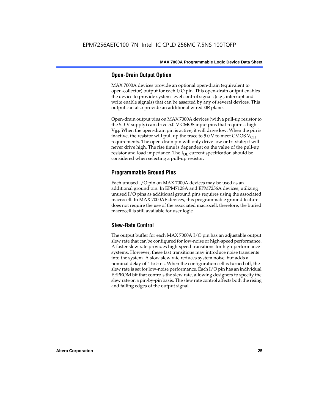#### **Open-Drain Output Option**

MAX 7000A devices provide an optional open-drain (equivalent to open-collector) output for each I/O pin. This open-drain output enables the device to provide system-level control signals (e.g., interrupt and write enable signals) that can be asserted by any of several devices. This output can also provide an additional wired-OR plane.

Open-drain output pins on MAX 7000A devices (with a pull-up resistor to the 5.0-V supply) can drive 5.0-V CMOS input pins that require a high  $V<sub>IH</sub>$ . When the open-drain pin is active, it will drive low. When the pin is inactive, the resistor will pull up the trace to  $5.0$  V to meet CMOS V<sub>OH</sub> requirements. The open-drain pin will only drive low or tri-state; it will never drive high. The rise time is dependent on the value of the pull-up resistor and load impedance. The  $I_{OL}$  current specification should be considered when selecting a pull-up resistor.

#### **Programmable Ground Pins**

Each unused I/O pin on MAX 7000A devices may be used as an additional ground pin. In EPM7128A and EPM7256A devices, utilizing unused I/O pins as additional ground pins requires using the associated macrocell. In MAX 7000AE devices, this programmable ground feature does not require the use of the associated macrocell; therefore, the buried macrocell is still available for user logic.

#### **Slew-Rate Control**

The output buffer for each MAX 7000A I/O pin has an adjustable output slew rate that can be configured for low-noise or high-speed performance. A faster slew rate provides high-speed transitions for high-performance systems. However, these fast transitions may introduce noise transients into the system. A slow slew rate reduces system noise, but adds a nominal delay of 4 to 5 ns. When the configuration cell is turned off, the slew rate is set for low-noise performance. Each I/O pin has an individual EEPROM bit that controls the slew rate, allowing designers to specify the slew rate on a pin-by-pin basis. The slew rate control affects both the rising and falling edges of the output signal.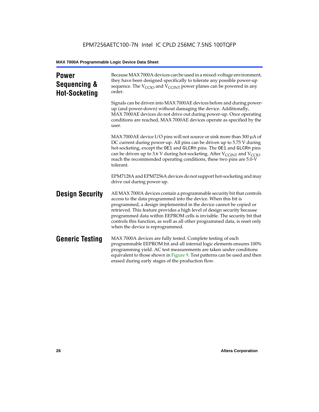| <b>Power</b><br>Sequencing &<br><b>Hot-Socketing</b> | Because MAX 7000A devices can be used in a mixed-voltage environment,<br>they have been designed specifically to tolerate any possible power-up<br>sequence. The $V_{\text{CCIO}}$ and $V_{\text{CCINT}}$ power planes can be powered in any<br>order.                                                                                                                                                                                                                                     |
|------------------------------------------------------|--------------------------------------------------------------------------------------------------------------------------------------------------------------------------------------------------------------------------------------------------------------------------------------------------------------------------------------------------------------------------------------------------------------------------------------------------------------------------------------------|
|                                                      | Signals can be driven into MAX 7000AE devices before and during power-<br>up (and power-down) without damaging the device. Additionally,<br>MAX 7000AE devices do not drive out during power-up. Once operating<br>conditions are reached, MAX 7000AE devices operate as specified by the<br>user.                                                                                                                                                                                         |
|                                                      | MAX 7000AE device I/O pins will not source or sink more than 300 $\mu$ A of<br>DC current during power-up. All pins can be driven up to 5.75 V during<br>hot-socketing, except the OE1 and GLCRn pins. The OE1 and GLCRn pins<br>can be driven up to 3.6 V during hot-socketing. After $V_{\text{CCINT}}$ and $V_{\text{CCIO}}$<br>reach the recommended operating conditions, these two pins are 5.0-V<br>tolerant.                                                                       |
|                                                      | EPM7128A and EPM7256A devices do not support hot-socketing and may<br>drive out during power-up.                                                                                                                                                                                                                                                                                                                                                                                           |
| <b>Design Security</b>                               | All MAX 7000A devices contain a programmable security bit that controls<br>access to the data programmed into the device. When this bit is<br>programmed, a design implemented in the device cannot be copied or<br>retrieved. This feature provides a high level of design security because<br>programmed data within EEPROM cells is invisible. The security bit that<br>controls this function, as well as all other programmed data, is reset only<br>when the device is reprogrammed. |
| <b>Generic Testing</b>                               | MAX 7000A devices are fully tested. Complete testing of each<br>programmable EEPROM bit and all internal logic elements ensures 100%<br>programming yield. AC test measurements are taken under conditions<br>equivalent to those shown in Figure 9. Test patterns can be used and then<br>erased during early stages of the production flow.                                                                                                                                              |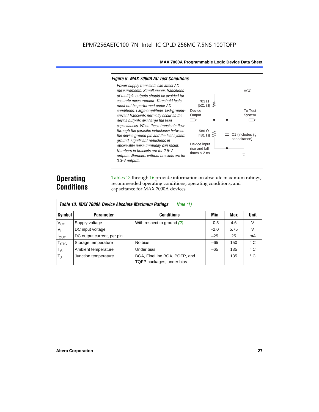#### *Figure 9. MAX 7000A AC Test Conditions*

*3.3-V outputs.*



### **Operating Conditions**

Tables 13 through 16 provide information on absolute maximum ratings, recommended operating conditions, operating conditions, and capacitance for MAX 7000A devices.

| Table 13. MAX 7000A Device Absolute Maximum Ratings<br>Note $(1)$ |                            |                                                           |        |      |              |  |  |  |
|-------------------------------------------------------------------|----------------------------|-----------------------------------------------------------|--------|------|--------------|--|--|--|
| Symbol                                                            | <b>Parameter</b>           | <b>Conditions</b>                                         | Min    | Max  | <b>Unit</b>  |  |  |  |
| $V_{CC}$                                                          | Supply voltage             | With respect to ground $(2)$                              | $-0.5$ | 4.6  | V            |  |  |  |
| $V_{I}$                                                           | DC input voltage           |                                                           | $-2.0$ | 5.75 | $\vee$       |  |  |  |
| $I_{OUT}$                                                         | DC output current, per pin |                                                           | $-25$  | 25   | mA           |  |  |  |
| <b>T<sub>STG</sub></b>                                            | Storage temperature        | No bias                                                   | $-65$  | 150  | $^{\circ}$ C |  |  |  |
| $T_A$                                                             | Ambient temperature        | Under bias                                                | $-65$  | 135  | $^{\circ}$ C |  |  |  |
| $T_{\rm J}$                                                       | Junction temperature       | BGA, FineLine BGA, PQFP, and<br>TQFP packages, under bias |        | 135  | $^{\circ}$ C |  |  |  |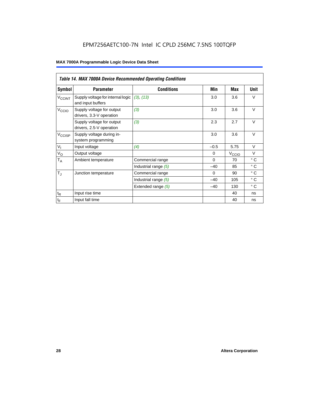### EPM7256AETC100-7N Intel IC CPLD 256MC 7.5NS 100TQFP

|                             | <b>Table 14. MAX 7000A Device Recommended Operating Conditions</b> |                      |          |                   |              |  |  |  |  |
|-----------------------------|--------------------------------------------------------------------|----------------------|----------|-------------------|--------------|--|--|--|--|
| Symbol                      | <b>Parameter</b>                                                   | <b>Conditions</b>    | Min      | Max               | Unit         |  |  |  |  |
| <b>V<sub>CCINT</sub></b>    | Supply voltage for internal logic<br>and input buffers             | (3), (13)            | 3.0      | 3.6               | $\vee$       |  |  |  |  |
| V <sub>CCIO</sub>           | Supply voltage for output<br>drivers, 3.3-V operation              | (3)                  | 3.0      | 3.6               | $\vee$       |  |  |  |  |
|                             | Supply voltage for output<br>drivers, 2.5-V operation              | (3)                  | 2.3      | 2.7               | $\vee$       |  |  |  |  |
| $V_{\text{CCISP}}$          | Supply voltage during in-<br>system programming                    |                      | 3.0      | 3.6               | $\vee$       |  |  |  |  |
| $V_{I}$                     | Input voltage                                                      | (4)                  | $-0.5$   | 5.75              | $\vee$       |  |  |  |  |
| $V_{\rm O}$                 | Output voltage                                                     |                      | $\Omega$ | V <sub>ccio</sub> | $\vee$       |  |  |  |  |
| $T_A$                       | Ambient temperature                                                | Commercial range     | $\Omega$ | 70                | $^{\circ}$ C |  |  |  |  |
|                             |                                                                    | Industrial range (5) | $-40$    | 85                | $^{\circ}$ C |  |  |  |  |
| $T_{\rm J}$                 | Junction temperature                                               | Commercial range     | $\Omega$ | 90                | $^{\circ}$ C |  |  |  |  |
|                             |                                                                    | Industrial range (5) | $-40$    | 105               | $^{\circ}$ C |  |  |  |  |
|                             |                                                                    | Extended range (5)   | $-40$    | 130               | $^{\circ}$ C |  |  |  |  |
| $t_{\mathsf{R}}$            | Input rise time                                                    |                      |          | 40                | ns           |  |  |  |  |
| $\mathfrak{t}_{\mathsf{F}}$ | Input fall time                                                    |                      |          | 40                | ns           |  |  |  |  |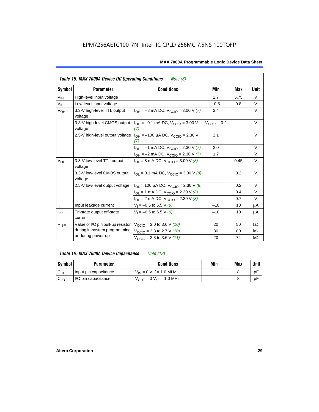| Table 15. MAX 7000A Device DC Operating Conditions<br><i>Note</i> $(6)$ |                                         |                                                                             |                         |      |           |  |  |  |
|-------------------------------------------------------------------------|-----------------------------------------|-----------------------------------------------------------------------------|-------------------------|------|-----------|--|--|--|
| Symbol                                                                  | <b>Parameter</b>                        | <b>Conditions</b>                                                           | Min                     | Max  | Unit      |  |  |  |
| $\mathsf{V}_{\mathsf{IH}}$                                              | High-level input voltage                |                                                                             | 1.7                     | 5.75 | $\vee$    |  |  |  |
| $V_{IL}$                                                                | Low-level input voltage                 |                                                                             | $-0.5$                  | 0.8  | V         |  |  |  |
| $V_{OH}$                                                                | 3.3-V high-level TTL output<br>voltage  | $I_{OH} = -8$ mA DC, $V_{CCIO} = 3.00$ V (7)                                | 2.4                     |      | V         |  |  |  |
|                                                                         | 3.3-V high-level CMOS output<br>voltage | $I_{OH} = -0.1$ mA DC, $V_{CCD} = 3.00$ V<br>(7)                            | $V_{\text{CCIO}} - 0.2$ |      | $\vee$    |  |  |  |
|                                                                         | 2.5-V high-level output voltage         | 2.1                                                                         |                         | V    |           |  |  |  |
|                                                                         |                                         | $I_{OH} = -1$ mA DC, $V_{CCIO} = 2.30$ V (7)                                | 2.0                     |      | $\vee$    |  |  |  |
|                                                                         |                                         | $I_{OH} = -2$ mA DC, $V_{CCIO} = 2.30$ V (7)                                | 1.7                     |      | $\vee$    |  |  |  |
| $V_{OL}$                                                                | 3.3-V low-level TTL output<br>voltage   | $I_{\text{OI}}$ = 8 mA DC, $V_{\text{CCl}}$ = 3.00 V (8)                    |                         | 0.45 | $\vee$    |  |  |  |
|                                                                         | 3.3-V low-level CMOS output<br>voltage  | $I_{\text{OI}} = 0.1 \text{ mA DC}$ , $V_{\text{CCl}} = 3.00 \text{ V}$ (8) |                         | 0.2  | V         |  |  |  |
|                                                                         | 2.5-V low-level output voltage          | $I_{OL}$ = 100 µA DC, $V_{CCIO}$ = 2.30 V (8)                               |                         | 0.2  | $\vee$    |  |  |  |
|                                                                         |                                         | $I_{OL}$ = 1 mA DC, $V_{CCIO}$ = 2.30 V (8)                                 |                         | 0.4  | $\vee$    |  |  |  |
|                                                                         |                                         | $I_{OL}$ = 2 mA DC, $V_{CCIO}$ = 2.30 V (8)                                 |                         | 0.7  | $\vee$    |  |  |  |
| $\mathsf{I}_1$                                                          | Input leakage current                   | $V_1 = -0.5$ to 5.5 V (9)                                                   | $-10$                   | 10   | μA        |  |  |  |
| $I_{OZ}$                                                                | Tri-state output off-state<br>current   | $V_1 = -0.5$ to 5.5 V (9)                                                   | $-10$                   | 10   | μA        |  |  |  |
| $R_{ISP}$                                                               | Value of I/O pin pull-up resistor       | $V_{\text{CCIO}} = 3.0$ to 3.6 V (10)                                       | 20                      | 50   | $k\Omega$ |  |  |  |
|                                                                         | during in-system programming            | $V_{\text{CCIO}}$ = 2.3 to 2.7 V (10)                                       | 30                      | 80   | $k\Omega$ |  |  |  |
|                                                                         | or during power-up                      | $V_{\text{CCIO}} = 2.3$ to 3.6 V (11)                                       | 20                      | 74   | $k\Omega$ |  |  |  |

| Table 16. MAX 7000A Device Capacitance | Note (12) |
|----------------------------------------|-----------|
|                                        |           |

| Symbol    | <b>Parameter</b>      | <b>Conditions</b>                   | Min | Max | Unit |
|-----------|-----------------------|-------------------------------------|-----|-----|------|
| $C_{IN}$  | Input pin capacitance | $V_{IN} = 0$ V, f = 1.0 MHz         |     |     | рF   |
| $v_{I/O}$ | I/O pin capacitance   | $V_{\text{OUT}} = 0 V, f = 1.0 MHz$ |     |     | рF   |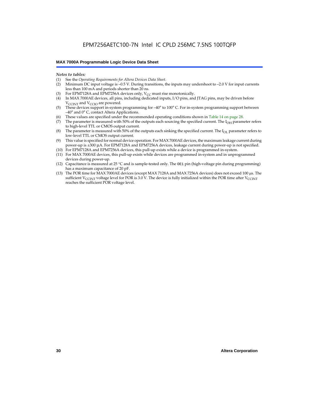#### *Notes to tables:*

- (1) See the *Operating Requirements for Altera Devices Data Sheet.*
- Minimum DC input voltage is –0.5 V. During transitions, the inputs may undershoot to –2.0 V for input currents less than 100 mA and periods shorter than 20 ns.
- (3) For EPM7128A and EPM7256A devices only,  $V_{CC}$  must rise monotonically.
- (4) In MAX 7000AE devices, all pins, including dedicated inputs, I/O pins, and JTAG pins, may be driven before V<sub>CCINT</sub> and V<sub>CCIO</sub> are powered.
- (5) These devices support in-system programming for –40° to 100° C. For in-system programming support between –40° and 0° C, contact Altera Applications.
- (6) These values are specified under the recommended operating conditions shown in Table 14 on page 28.
- (7) The parameter is measured with 50% of the outputs each sourcing the specified current. The  $I_{OH}$  parameter refers to high-level TTL or CMOS output current.
- (8) The parameter is measured with 50% of the outputs each sinking the specified current. The  $I_{OL}$  parameter refers to low-level TTL or CMOS output current.
- (9) This value is specified for normal device operation. For MAX 7000AE devices, the maximum leakage current during power-up is ±300 µA. For EPM7128A and EPM7256A devices, leakage current during power-up is not specified.
- (10) For EPM7128A and EPM7256A devices, this pull-up exists while a device is programmed in-system.
- (11) For MAX 7000AE devices, this pull-up exists while devices are programmed in-system and in unprogrammed devices during power-up.
- (12) Capacitance is measured at 25 °C and is sample-tested only. The OE1 pin (high-voltage pin during programming) has a maximum capacitance of 20 pF.
- (13) The POR time for MAX 7000AE devices (except MAX 7128A and MAX 7256A devices) does not exceed 100 µs. The sufficient V<sub>CCINT</sub> voltage level for POR is 3.0 V. The device is fully initialized within the POR time after V<sub>CCINT</sub> reaches the sufficient POR voltage level.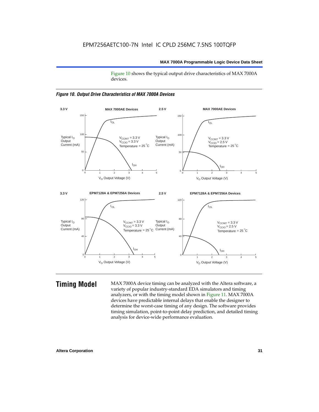Figure 10 shows the typical output drive characteristics of MAX 7000A devices.





**Timing Model** MAX 7000A device timing can be analyzed with the Altera software, a variety of popular industry-standard EDA simulators and timing analyzers, or with the timing model shown in Figure 11. MAX 7000A devices have predictable internal delays that enable the designer to determine the worst-case timing of any design. The software provides timing simulation, point-to-point delay prediction, and detailed timing analysis for device-wide performance evaluation.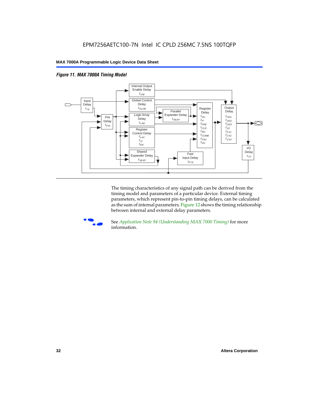



The timing characteristics of any signal path can be derived from the timing model and parameters of a particular device. External timing parameters, which represent pin-to-pin timing delays, can be calculated as the sum of internal parameters. Figure 12 shows the timing relationship between internal and external delay parameters.



f See *Application Note 94 (Understanding MAX 7000 Timing)* for more information.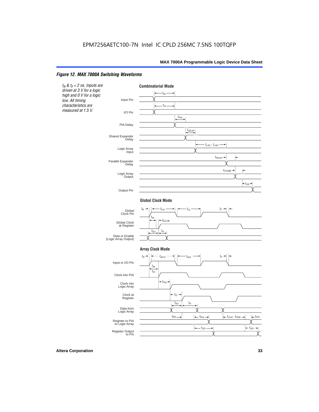#### *Figure 12. MAX 7000A Switching Waveforms*

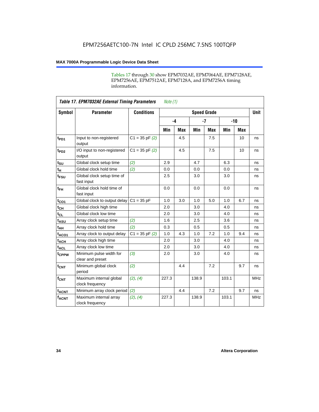Tables 17 through 30 show EPM7032AE, EPM7064AE, EPM7128AE, EPM7256AE, EPM7512AE, EPM7128A, and EPM7256A timing information.

|                         | <b>Table 17. EPM7032AE External Timing Parameters</b><br>Note $(1)$ |                    |                    |      |       |            |       |     |             |
|-------------------------|---------------------------------------------------------------------|--------------------|--------------------|------|-------|------------|-------|-----|-------------|
| Symbol                  | <b>Parameter</b>                                                    | <b>Conditions</b>  | <b>Speed Grade</b> |      |       |            |       |     | <b>Unit</b> |
|                         |                                                                     |                    |                    | $-4$ |       | $-7$       | $-10$ |     |             |
|                         |                                                                     |                    | Min                | Max  | Min   | <b>Max</b> | Min   | Max |             |
| t <sub>PD1</sub>        | Input to non-registered<br>output                                   | $C1 = 35$ pF $(2)$ |                    | 4.5  |       | 7.5        |       | 10  | ns          |
| $t_{PD2}$               | I/O input to non-registered<br>output                               | $C1 = 35 pF(2)$    |                    | 4.5  |       | 7.5        |       | 10  | ns          |
| $t_{\text{SU}}$         | Global clock setup time                                             | (2)                | 2.9                |      | 4.7   |            | 6.3   |     | ns          |
| $t_H$                   | Global clock hold time                                              | (2)                | 0.0                |      | 0.0   |            | 0.0   |     | ns          |
| t <sub>FSU</sub>        | Global clock setup time of<br>fast input                            |                    | 2.5                |      | 3.0   |            | 3.0   |     | ns          |
| $t_{FH}$                | Global clock hold time of<br>fast input                             |                    | 0.0                |      | 0.0   |            | 0.0   |     | ns          |
| $t_{CO1}$               | Global clock to output delay                                        | $C1 = 35 pF$       | 1.0                | 3.0  | 1.0   | 5.0        | 1.0   | 6.7 | ns          |
| $t_{CH}$                | Global clock high time                                              |                    | 2.0                |      | 3.0   |            | 4.0   |     | ns          |
| $t_{CL}$                | Global clock low time                                               |                    | 2.0                |      | 3.0   |            | 4.0   |     | ns          |
| t <sub>ASU</sub>        | Array clock setup time                                              | (2)                | 1.6                |      | 2.5   |            | 3.6   |     | ns          |
| t <sub>АН</sub>         | Array clock hold time                                               | (2)                | 0.3                |      | 0.5   |            | 0.5   |     | ns          |
| t <sub>ACO1</sub>       | Array clock to output delay                                         | $C1 = 35$ pF $(2)$ | 1.0                | 4.3  | 1.0   | 7.2        | 1.0   | 9.4 | ns          |
| $t_{ACH}$               | Array clock high time                                               |                    | 2.0                |      | 3.0   |            | 4.0   |     | ns          |
| $t_{ACL}$               | Array clock low time                                                |                    | 2.0                |      | 3.0   |            | 4.0   |     | ns          |
| tcPPW                   | Minimum pulse width for<br>clear and preset                         | (3)                | 2.0                |      | 3.0   |            | 4.0   |     | ns          |
| $t_{CNT}$               | Minimum global clock<br>period                                      | (2)                |                    | 4.4  |       | 7.2        |       | 9.7 | ns          |
| $f_{CNT}$               | Maximum internal global<br>clock frequency                          | (2), (4)           | 227.3              |      | 138.9 |            | 103.1 |     | <b>MHz</b>  |
| <b>t<sub>ACNT</sub></b> | Minimum array clock period                                          | (2)                |                    | 4.4  |       | 7.2        |       | 9.7 | ns          |
| $f_{ACNT}$              | Maximum internal array<br>clock frequency                           | (2), (4)           | 227.3              |      | 138.9 |            | 103.1 |     | <b>MHz</b>  |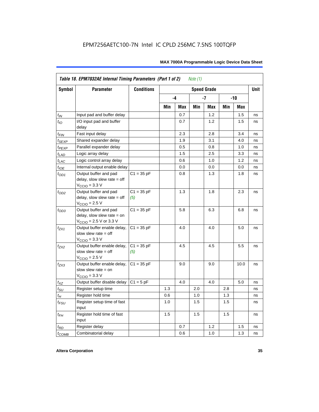|                    | Table 18. EPM7032AE Internal Timing Parameters (Part 1 of 2)<br>Note $(1)$                                   |                     |     |          |     |                    |     |      |             |
|--------------------|--------------------------------------------------------------------------------------------------------------|---------------------|-----|----------|-----|--------------------|-----|------|-------------|
| Symbol             | <b>Parameter</b>                                                                                             | <b>Conditions</b>   |     |          |     | <b>Speed Grade</b> |     |      | <b>Unit</b> |
|                    |                                                                                                              |                     |     | -4<br>-7 |     |                    | -10 |      |             |
|                    |                                                                                                              |                     | Min | Max      | Min | Max                | Min | Max  |             |
| $t_{IN}$           | Input pad and buffer delay                                                                                   |                     |     | 0.7      |     | 1.2                |     | 1.5  | ns          |
| $t_{IO}$           | I/O input pad and buffer<br>delay                                                                            |                     |     | 0.7      |     | 1.2                |     | 1.5  | ns          |
| $t_{\sf FIN}$      | Fast input delay                                                                                             |                     |     | 2.3      |     | 2.8                |     | 3.4  | ns          |
| $t_{SEXP}$         | Shared expander delay                                                                                        |                     |     | 1.9      |     | 3.1                |     | 4.0  | ns          |
| t <sub>PEXP</sub>  | Parallel expander delay                                                                                      |                     |     | 0.5      |     | 0.8                |     | 1.0  | ns          |
| $t_{LAD}$          | Logic array delay                                                                                            |                     |     | 1.5      |     | 2.5                |     | 3.3  | ns          |
| $t_{LAC}$          | Logic control array delay                                                                                    |                     |     | 0.6      |     | 1.0                |     | 1.2  | ns          |
| $t_{IOE}$          | Internal output enable delay                                                                                 |                     |     | 0.0      |     | 0.0                |     | 0.0  | ns          |
| $t_{OD1}$          | Output buffer and pad<br>delay, slow slew rate $=$ off<br>$V_{\text{CCIO}} = 3.3 \text{ V}$                  | $C1 = 35 pF$        |     | 0.8      |     | 1.3                |     | 1.8  | ns          |
| $t_{OD2}$          | Output buffer and pad<br>delay, slow slew rate $=$ off<br>$V_{\text{CCIO}}$ = 2.5 V                          | $C1 = 35 pF$<br>(5) |     | 1.3      |     | 1.8                |     | 2.3  | ns          |
| $t_{OD3}$          | Output buffer and pad<br>delay, slow slew rate $=$ on<br>$V_{\text{CCIO}} = 2.5 \text{ V or } 3.3 \text{ V}$ | $C1 = 35 pF$        |     | 5.8      |     | 6.3                |     | 6.8  | ns          |
| $t_{ZX1}$          | Output buffer enable delay,<br>slow slew rate $=$ off<br>$V_{\text{CCIO}} = 3.3 \text{ V}$                   | $C1 = 35 pF$        |     | 4.0      |     | 4.0                |     | 5.0  | ns          |
| $t_{ZX2}$          | Output buffer enable delay,<br>slow slew rate $=$ off<br>$V_{\text{CCIO}}$ = 2.5 V                           | $C1 = 35 pF$<br>(5) |     | 4.5      |     | 4.5                |     | 5.5  | ns          |
| $t_{ZX3}$          | Output buffer enable delay,<br>slow slew rate $=$ on<br>$V_{\text{CCIO}} = 3.3 \text{ V}$                    | $C1 = 35 pF$        |     | 9.0      |     | 9.0                |     | 10.0 | ns          |
| $t_{\mathsf{XZ}}$  | Output buffer disable delay                                                                                  | $C1 = 5pF$          |     | 4.0      |     | 4.0                |     | 5.0  | ns          |
| $t_{\text{SU}}$    | Register setup time                                                                                          |                     | 1.3 |          | 2.0 |                    | 2.8 |      | ns          |
| $t_H$              | Register hold time                                                                                           |                     | 0.6 |          | 1.0 |                    | 1.3 |      | ns          |
| $t_{\mathit{FSU}}$ | Register setup time of fast<br>input                                                                         |                     | 1.0 |          | 1.5 |                    | 1.5 |      | ns          |
| $t_{FH}$           | Register hold time of fast<br>input                                                                          |                     | 1.5 |          | 1.5 |                    | 1.5 |      | ns          |
| $t_{RD}$           | Register delay                                                                                               |                     |     | 0.7      |     | 1.2                |     | 1.5  | ns          |
| $t_{COMB}$         | Combinatorial delay                                                                                          |                     |     | 0.6      |     | 1.0                |     | 1.3  | ns          |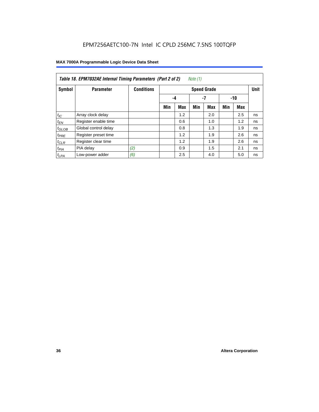|                  | Table 18. EPM7032AE Internal Timing Parameters (Part 2 of 2)<br>Note (1) |                   |     |            |     |                    |     |       |             |
|------------------|--------------------------------------------------------------------------|-------------------|-----|------------|-----|--------------------|-----|-------|-------------|
| Symbol           | <b>Parameter</b>                                                         | <b>Conditions</b> |     |            |     | <b>Speed Grade</b> |     |       | <b>Unit</b> |
|                  |                                                                          |                   |     | -4         |     | -7                 |     | $-10$ |             |
|                  |                                                                          |                   | Min | <b>Max</b> | Min | <b>Max</b>         | Min | Max   |             |
| $t_{IC}$         | Array clock delay                                                        |                   |     | 1.2        |     | 2.0                |     | 2.5   | ns          |
| $t_{EN}$         | Register enable time                                                     |                   |     | 0.6        |     | 1.0                |     | 1.2   | ns          |
| $t_{GLOB}$       | Global control delay                                                     |                   |     | 0.8        |     | 1.3                |     | 1.9   | ns          |
| $t_{PRE}$        | Register preset time                                                     |                   |     | 1.2        |     | 1.9                |     | 2.6   | ns          |
| $t_{CLR}$        | Register clear time                                                      |                   |     | 1.2        |     | 1.9                |     | 2.6   | ns          |
| t <sub>PIA</sub> | PIA delay                                                                | (2)               |     | 0.9        |     | 1.5                |     | 2.1   | ns          |
| $t_{LPA}$        | Low-power adder                                                          | (6)               |     | 2.5        |     | 4.0                |     | 5.0   | ns          |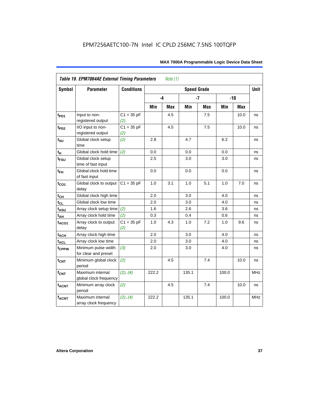| Symbol            | <b>Parameter</b>                            | <b>Conditions</b>   | <b>Speed Grade</b> |     |       |            |       |            |            |
|-------------------|---------------------------------------------|---------------------|--------------------|-----|-------|------------|-------|------------|------------|
|                   |                                             |                     |                    | -4  |       | $-7$       |       | $-10$      |            |
|                   |                                             |                     | Min                | Max | Min   | <b>Max</b> | Min   | <b>Max</b> |            |
| $t_{PD1}$         | Input to non-<br>registered output          | $C1 = 35 pF$<br>(2) |                    | 4.5 |       | 7.5        |       | 10.0       | ns         |
| t <sub>PD2</sub>  | I/O input to non-<br>registered output      | $C1 = 35 pF$<br>(2) |                    | 4.5 |       | 7.5        |       | 10.0       | ns         |
| $t_{\text{SU}}$   | Global clock setup<br>time                  | (2)                 | 2.8                |     | 4.7   |            | 6.2   |            | ns         |
| tμ                | Global clock hold time                      | (2)                 | 0.0                |     | 0.0   |            | 0.0   |            | ns         |
| $t_{FSU}$         | Global clock setup<br>time of fast input    |                     | 2.5                |     | 3.0   |            | 3.0   |            | ns         |
| $t_{FH}$          | Global clock hold time<br>of fast input     |                     | 0.0                |     | 0.0   |            | 0.0   |            | ns         |
| $t_{CO1}$         | Global clock to output<br>delay             | $C1 = 35 pF$        | 1.0                | 3.1 | 1.0   | 5.1        | 1.0   | 7.0        | ns         |
| $t_{CH}$          | Global clock high time                      |                     | 2.0                |     | 3.0   |            | 4.0   |            | ns         |
| $t_{CL}$          | Global clock low time                       |                     | 2.0                |     | 3.0   |            | 4.0   |            | ns         |
| t <sub>ASU</sub>  | Array clock setup time                      | (2)                 | 1.6                |     | 2.6   |            | 3.6   |            | ns         |
| $t_{AH}$          | Array clock hold time                       | (2)                 | 0.3                |     | 0.4   |            | 0.6   |            | ns         |
| t <sub>ACO1</sub> | Array clock to output<br>delay              | $C1 = 35 pF$<br>(2) | 1.0                | 4.3 | 1.0   | 7.2        | 1.0   | 9.6        | ns         |
| $t_{ACH}$         | Array clock high time                       |                     | 2.0                |     | 3.0   |            | 4.0   |            | ns         |
| t <sub>ACL</sub>  | Array clock low time                        |                     | 2.0                |     | 3.0   |            | 4.0   |            | ns         |
| t <sub>CPPW</sub> | Minimum pulse width<br>for clear and preset | (3)                 | 2.0                |     | 3.0   |            | 4.0   |            | ns         |
| $t_{\text{CNT}}$  | Minimum global clock<br>period              | (2)                 |                    | 4.5 |       | 7.4        |       | 10.0       | ns         |
| $f_{CNT}$         | Maximum internal<br>global clock frequency  | (2), (4)            | 222.2              |     | 135.1 |            | 100.0 |            | <b>MHz</b> |
| $t_{ACNT}$        | Minimum array clock<br>period               | (2)                 |                    | 4.5 |       | 7.4        |       | 10.0       | ns         |
| <b>fACNT</b>      | Maximum internal<br>array clock frequency   | (2), (4)            | 222.2              |     | 135.1 |            | 100.0 |            | <b>MHz</b> |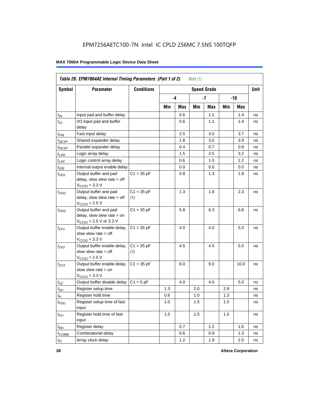|                   | Table 20. EPM7064AE Internal Timing Parameters (Part 1 of 2)<br>Note $(1)$                                   |                     |     |      |     |                    |     |       |             |  |  |  |
|-------------------|--------------------------------------------------------------------------------------------------------------|---------------------|-----|------|-----|--------------------|-----|-------|-------------|--|--|--|
| Symbol            | <b>Parameter</b>                                                                                             | <b>Conditions</b>   |     |      |     | <b>Speed Grade</b> |     |       | <b>Unit</b> |  |  |  |
|                   |                                                                                                              |                     |     | $-4$ |     | -7                 |     | $-10$ |             |  |  |  |
|                   |                                                                                                              |                     | Min | Max  | Min | Max                | Min | Max   |             |  |  |  |
| $t_{IN}$          | Input pad and buffer delay                                                                                   |                     |     | 0.6  |     | 1.1                |     | 1.4   | ns          |  |  |  |
| $t_{IO}$          | I/O input pad and buffer<br>delay                                                                            |                     |     | 0.6  |     | 1.1                |     | 1.4   | ns          |  |  |  |
| $t_{FIN}$         | Fast input delay                                                                                             |                     |     | 2.5  |     | 3.0                |     | 3.7   | ns          |  |  |  |
| t <sub>SEXP</sub> | Shared expander delay                                                                                        |                     |     | 1.8  |     | 3.0                |     | 3.9   | ns          |  |  |  |
| t <sub>PEXP</sub> | Parallel expander delay                                                                                      |                     |     | 0.4  |     | 0.7                |     | 0.9   | ns          |  |  |  |
| $t_{LAD}$         | Logic array delay                                                                                            |                     |     | 1.5  |     | 2.5                |     | 3.2   | ns          |  |  |  |
| $t_{LAC}$         | Logic control array delay                                                                                    |                     |     | 0.6  |     | 1.0                |     | 1.2   | ns          |  |  |  |
| $t_{IOE}$         | Internal output enable delay                                                                                 |                     |     | 0.0  |     | 0.0                |     | 0.0   | ns          |  |  |  |
| $t_{OD1}$         | Output buffer and pad<br>delay, slow slew rate $=$ off<br>$V_{\text{CCIO}} = 3.3 \text{ V}$                  | $C1 = 35 pF$        |     | 0.8  |     | 1.3                |     | 1.8   | ns          |  |  |  |
| $t_{OD2}$         | Output buffer and pad<br>delay, slow slew rate $=$ off<br>$V_{\text{CCIO}}$ = 2.5 V                          | $C1 = 35 pF$<br>(5) |     | 1.3  |     | 1.8                |     | 2.3   | ns          |  |  |  |
| $t_{OD3}$         | Output buffer and pad<br>delay, slow slew rate $=$ on<br>$V_{\text{CCIO}} = 2.5 \text{ V or } 3.3 \text{ V}$ | $C1 = 35 pF$        |     | 5.8  |     | 6.3                |     | 6.8   | ns          |  |  |  |
| $t_{ZX1}$         | Output buffer enable delay,<br>slow slew rate $=$ off<br>$V_{\text{CCIO}} = 3.3 \text{ V}$                   | $C1 = 35 pF$        |     | 4.0  |     | 4.0                |     | 5.0   | ns          |  |  |  |
| $t_{ZX2}$         | Output buffer enable delay,<br>slow slew rate $=$ off<br>$V_{\text{CCIO}} = 2.5 V$                           | $C1 = 35 pF$<br>(5) |     | 4.5  |     | 4.5                |     | 5.5   | ns          |  |  |  |
| $t_{ZX3}$         | Output buffer enable delay,<br>slow slew rate $=$ on<br>$V_{\text{CCIO}} = 3.3 \text{ V}$                    | $C1 = 35 pF$        |     | 9.0  |     | 9.0                |     | 10.0  | ns          |  |  |  |
| $t_{XZ}$          | Output buffer disable delay                                                                                  | $C1 = 5pF$          |     | 4.0  |     | 4.0                |     | 5.0   | ns          |  |  |  |
| $t_{\text{SU}}$   | Register setup time                                                                                          |                     | 1.3 |      | 2.0 |                    | 2.9 |       | ns          |  |  |  |
| $t_H$             | Register hold time                                                                                           |                     | 0.6 |      | 1.0 |                    | 1.3 |       | ns          |  |  |  |
| $t_{FSU}$         | Register setup time of fast<br>input                                                                         |                     | 1.0 |      | 1.5 |                    | 1.5 |       | ns          |  |  |  |
| $t_{FH}$          | Register hold time of fast<br>input                                                                          |                     | 1.5 |      | 1.5 |                    | 1.5 |       | ns          |  |  |  |
| $t_{RD}$          | Register delay                                                                                               |                     |     | 0.7  |     | 1.2                |     | 1.6   | ns          |  |  |  |
| $t_{COMB}$        | Combinatorial delay                                                                                          |                     |     | 0.6  |     | 0.9                |     | 1.3   | ns          |  |  |  |
| $t_{IC}$          | Array clock delay                                                                                            |                     |     | 1.2  |     | 1.9                |     | 2.5   | ns          |  |  |  |

**38 Altera Corporation**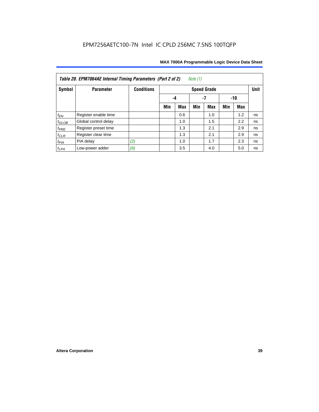| Note $(1)$<br>Table 20. EPM7064AE Internal Timing Parameters (Part 2 of 2) |                      |                   |     |                 |     |                    |     |     |             |  |  |  |
|----------------------------------------------------------------------------|----------------------|-------------------|-----|-----------------|-----|--------------------|-----|-----|-------------|--|--|--|
| Symbol                                                                     | <b>Parameter</b>     | <b>Conditions</b> |     |                 |     | <b>Speed Grade</b> |     |     | <b>Unit</b> |  |  |  |
|                                                                            |                      |                   |     | -7<br>-10<br>-4 |     |                    |     |     |             |  |  |  |
|                                                                            |                      |                   | Min | <b>Max</b>      | Min | <b>Max</b>         | Min | Max |             |  |  |  |
| $t_{EN}$                                                                   | Register enable time |                   |     | 0.6             |     | 1.0                |     | 1.2 | ns          |  |  |  |
| $t_{\text{GLOB}}$                                                          | Global control delay |                   |     | 1.0             |     | 1.5                |     | 2.2 | ns          |  |  |  |
| $t_{PRE}$                                                                  | Register preset time |                   |     | 1.3             |     | 2.1                |     | 2.9 | ns          |  |  |  |
| $t_{CLR}$                                                                  | Register clear time  |                   |     | 1.3             |     | 2.1                |     | 2.9 | ns          |  |  |  |
| $t_{PIA}$                                                                  | PIA delay            | (2)               |     | 1.0             |     | 1.7                |     | 2.3 | ns          |  |  |  |
| $t_{LPA}$                                                                  | Low-power adder      | (6)               |     | 3.5             |     | 4.0                |     | 5.0 | ns          |  |  |  |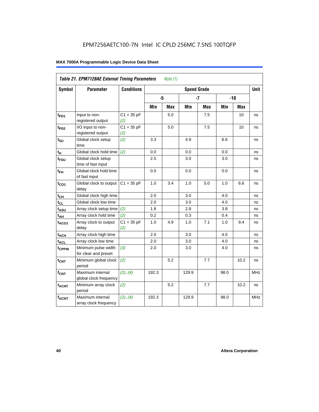| <b>Table 21. EPM7128AE External Timing Parameters</b><br>Note $(1)$ |                                             |                     |       |            |                    |            |            |            |            |  |
|---------------------------------------------------------------------|---------------------------------------------|---------------------|-------|------------|--------------------|------------|------------|------------|------------|--|
| Symbol                                                              | <b>Parameter</b>                            | <b>Conditions</b>   |       |            | <b>Speed Grade</b> |            |            |            | Unit       |  |
|                                                                     |                                             |                     | -5    |            |                    | $-7$       |            | $-10$      |            |  |
|                                                                     |                                             |                     | Min   | <b>Max</b> | Min                | <b>Max</b> | <b>Min</b> | <b>Max</b> |            |  |
| t <sub>PD1</sub>                                                    | Input to non-<br>registered output          | $C1 = 35 pF$<br>(2) |       | 5.0        |                    | 7.5        |            | 10         | ns         |  |
| t <sub>PD2</sub>                                                    | I/O input to non-<br>registered output      | $C1 = 35 pF$<br>(2) |       | 5.0        |                    | 7.5        |            | 10         | ns         |  |
| $t_{\text{SU}}$                                                     | Global clock setup<br>time                  | (2)                 | 3.3   |            | 4.9                |            | 6.6        |            | ns         |  |
| $t_H$                                                               | Global clock hold time                      | (2)                 | 0.0   |            | 0.0                |            | 0.0        |            | ns         |  |
| t <sub>FSU</sub>                                                    | Global clock setup<br>time of fast input    |                     | 2.5   |            | 3.0                |            | 3.0        |            | ns         |  |
| $t_{FH}$                                                            | Global clock hold time<br>of fast input     |                     | 0.0   |            | 0.0                |            | 0.0        |            | ns         |  |
| $t_{CO1}$                                                           | Global clock to output<br>delay             | $C1 = 35 pF$        | 1.0   | 3.4        | 1.0                | 5.0        | 1.0        | 6.6        | ns         |  |
| $t_{CH}$                                                            | Global clock high time                      |                     | 2.0   |            | 3.0                |            | 4.0        |            | ns         |  |
| $t_{CL}$                                                            | Global clock low time                       |                     | 2.0   |            | 3.0                |            | 4.0        |            | ns         |  |
| $t_{ASU}$                                                           | Array clock setup time                      | (2)                 | 1.8   |            | 2.8                |            | 3.8        |            | ns         |  |
| $t_{AH}$                                                            | Array clock hold time                       | (2)                 | 0.2   |            | 0.3                |            | 0.4        |            | ns         |  |
| $t_{ACO1}$                                                          | Array clock to output<br>delay              | $C1 = 35 pF$<br>(2) | 1.0   | 4.9        | 1.0                | 7.1        | 1.0        | 9.4        | ns         |  |
| $t_{ACH}$                                                           | Array clock high time                       |                     | 2.0   |            | 3.0                |            | 4.0        |            | ns         |  |
| t <sub>ACL</sub>                                                    | Array clock low time                        |                     | 2.0   |            | 3.0                |            | 4.0        |            | ns         |  |
| t <sub>CPPW</sub>                                                   | Minimum pulse width<br>for clear and preset | (3)                 | 2.0   |            | 3.0                |            | 4.0        |            | ns         |  |
| $t_{\text{CNT}}$                                                    | Minimum global clock<br>period              | (2)                 |       | 5.2        |                    | 7.7        |            | 10.2       | ns         |  |
| $f_{CNT}$                                                           | Maximum internal<br>global clock frequency  | (2), (4)            | 192.3 |            | 129.9              |            | 98.0       |            | <b>MHz</b> |  |
| $t_{ACNT}$                                                          | Minimum array clock<br>period               | (2)                 |       | 5.2        |                    | 7.7        |            | 10.2       | ns         |  |
| <b>fACNT</b>                                                        | Maximum internal<br>array clock frequency   | (2), (4)            | 192.3 |            | 129.9              |            | 98.0       |            | <b>MHz</b> |  |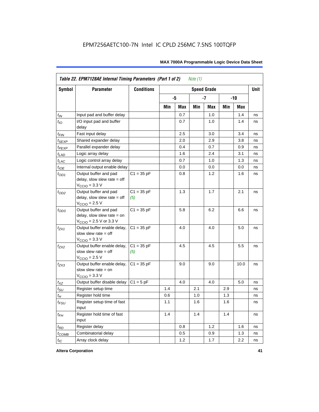|                 | Table 22. EPM7128AE Internal Timing Parameters (Part 1 of 2)<br>Note $(1)$                  |                     |     |     |     |                    |     |       |             |  |  |
|-----------------|---------------------------------------------------------------------------------------------|---------------------|-----|-----|-----|--------------------|-----|-------|-------------|--|--|
| Symbol          | <b>Parameter</b>                                                                            | <b>Conditions</b>   |     |     |     | <b>Speed Grade</b> |     |       | <b>Unit</b> |  |  |
|                 |                                                                                             |                     |     | -5  |     | $-7$               |     | $-10$ |             |  |  |
|                 |                                                                                             |                     | Min | Max | Min | Max                | Min | Max   |             |  |  |
| $t_{IN}$        | Input pad and buffer delay                                                                  |                     |     | 0.7 |     | 1.0                |     | 1.4   | ns          |  |  |
| $t_{IO}$        | I/O input pad and buffer<br>delay                                                           |                     |     | 0.7 |     | 1.0                |     | 1.4   | ns          |  |  |
| $t_{\sf FIN}$   | Fast input delay                                                                            |                     |     | 2.5 |     | 3.0                |     | 3.4   | ns          |  |  |
| $t_{SEXP}$      | Shared expander delay                                                                       |                     |     | 2.0 |     | 2.9                |     | 3.8   | ns          |  |  |
| $t_{PEXP}$      | Parallel expander delay                                                                     |                     |     | 0.4 |     | 0.7                |     | 0.9   | ns          |  |  |
| $t_{LAD}$       | Logic array delay                                                                           |                     |     | 1.6 |     | 2.4                |     | 3.1   | ns          |  |  |
| $t_{LAC}$       | Logic control array delay                                                                   |                     |     | 0.7 |     | 1.0                |     | 1.3   | ns          |  |  |
| $t_{IOE}$       | Internal output enable delay                                                                |                     |     | 0.0 |     | 0.0                |     | 0.0   | ns          |  |  |
| $t_{OD1}$       | Output buffer and pad<br>delay, slow slew rate $=$ off<br>$VCCIO = 3.3 V$                   | $C1 = 35 pF$        |     | 0.8 |     | 1.2                |     | 1.6   | ns          |  |  |
| $t_{OD2}$       | Output buffer and pad<br>delay, slow slew rate $=$ off<br>$V_{\text{CCIO}}$ = 2.5 V         | $C1 = 35 pF$<br>(5) |     | 1.3 |     | 1.7                |     | 2.1   | ns          |  |  |
| $t_{OD3}$       | Output buffer and pad<br>delay, slow slew rate $=$ on<br>$V_{\text{CCIO}}$ = 2.5 V or 3.3 V | $C1 = 35 pF$        |     | 5.8 |     | 6.2                |     | 6.6   | ns          |  |  |
| $t_{ZX1}$       | Output buffer enable delay,<br>slow slew rate $=$ off<br>$V_{\text{CCIO}} = 3.3 \text{ V}$  | $C1 = 35 pF$        |     | 4.0 |     | 4.0                |     | 5.0   | ns          |  |  |
| $t_{7X2}$       | Output buffer enable delay,<br>slow slew rate $=$ off<br>$V_{\text{CCIO}} = 2.5 V$          | $C1 = 35 pF$<br>(5) |     | 4.5 |     | 4.5                |     | 5.5   | ns          |  |  |
| $t_{ZX3}$       | Output buffer enable delay,<br>slow slew rate $=$ on<br>$V_{\text{CCIO}} = 3.3 \text{ V}$   | $C1 = 35 pF$        |     | 9.0 |     | 9.0                |     | 10.0  | ns          |  |  |
| $t_{XZ}$        | Output buffer disable delay                                                                 | $C1 = 5pF$          |     | 4.0 |     | 4.0                |     | 5.0   | ns          |  |  |
| $t_{\text{SU}}$ | Register setup time                                                                         |                     | 1.4 |     | 2.1 |                    | 2.9 |       | ns          |  |  |
| $t_H$           | Register hold time                                                                          |                     | 0.6 |     | 1.0 |                    | 1.3 |       | ns          |  |  |
| $t_{FSU}$       | Register setup time of fast<br>input                                                        |                     | 1.1 |     | 1.6 |                    | 1.6 |       | ns          |  |  |
| $t_{FH}$        | Register hold time of fast<br>input                                                         |                     | 1.4 |     | 1.4 |                    | 1.4 |       | ns          |  |  |
| $t_{RD}$        | Register delay                                                                              |                     |     | 0.8 |     | 1.2                |     | 1.6   | ns          |  |  |
| $t_{COMB}$      | Combinatorial delay                                                                         |                     |     | 0.5 |     | 0.9                |     | 1.3   | ns          |  |  |
| $t_{IC}$        | Array clock delay                                                                           |                     |     | 1.2 |     | 1.7                |     | 2.2   | ns          |  |  |

**Altera Corporation 41**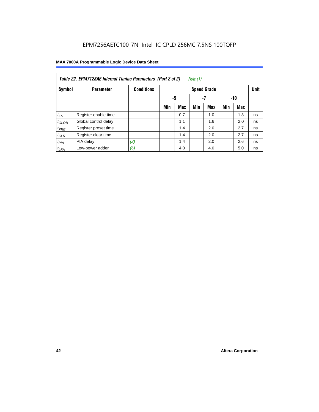| Note (1)<br>Table 22. EPM7128AE Internal Timing Parameters (Part 2 of 2) |                      |                   |     |                 |     |                    |     |            |             |  |  |
|--------------------------------------------------------------------------|----------------------|-------------------|-----|-----------------|-----|--------------------|-----|------------|-------------|--|--|
| Symbol                                                                   | <b>Parameter</b>     | <b>Conditions</b> |     |                 |     | <b>Speed Grade</b> |     |            | <b>Unit</b> |  |  |
|                                                                          |                      |                   |     | -5<br>-7<br>-10 |     |                    |     |            |             |  |  |
|                                                                          |                      |                   | Min | <b>Max</b>      | Min | <b>Max</b>         | Min | <b>Max</b> |             |  |  |
| $t_{EN}$                                                                 | Register enable time |                   |     | 0.7             |     | 1.0                |     | 1.3        | ns          |  |  |
| $t_{GLOB}$                                                               | Global control delay |                   |     | 1.1             |     | 1.6                |     | 2.0        | ns          |  |  |
| $t_{PRE}$                                                                | Register preset time |                   |     | 1.4             |     | 2.0                |     | 2.7        | ns          |  |  |
| $t_{CLR}$                                                                | Register clear time  |                   |     | 1.4             |     | 2.0                |     | 2.7        | ns          |  |  |
| $t_{PIA}$                                                                | PIA delay            | (2)               |     | 1.4             |     | 2.0                |     | 2.6        | ns          |  |  |
| $t_{LPA}$                                                                | Low-power adder      | (6)               |     | 4.0             |     | 4.0                |     | 5.0        | ns          |  |  |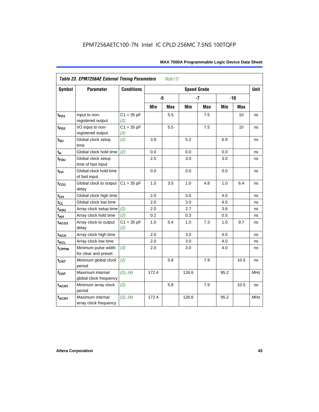| Symbol                      | <b>Parameter</b>                            | <b>Conditions</b>   |       |     | <b>Speed Grade</b> |            |      |       | <b>Unit</b> |
|-----------------------------|---------------------------------------------|---------------------|-------|-----|--------------------|------------|------|-------|-------------|
|                             |                                             |                     | -5    |     |                    | $-7$       |      | $-10$ |             |
|                             |                                             |                     | Min   | Max | Min                | <b>Max</b> | Min  | Max   |             |
| $t_{PD1}$                   | Input to non-<br>registered output          | $C1 = 35 pF$<br>(2) |       | 5.5 |                    | 7.5        |      | 10    | ns          |
| $t_{PD2}$                   | I/O input to non-<br>registered output      | $C1 = 35 pF$<br>(2) |       | 5.5 |                    | 7.5        |      | 10    | ns          |
| $t_{\scriptstyle\text{SU}}$ | Global clock setup<br>time                  | (2)                 | 3.9   |     | 5.2                |            | 6.9  |       | ns          |
| $t_H$                       | Global clock hold time                      | (2)                 | 0.0   |     | 0.0                |            | 0.0  |       | ns          |
| t <sub>FSU</sub>            | Global clock setup<br>time of fast input    |                     | 2.5   |     | 3.0                |            | 3.0  |       | ns          |
| $t_{FH}$                    | Global clock hold time<br>of fast input     |                     | 0.0   |     | 0.0                |            | 0.0  |       | ns          |
| $t_{CO1}$                   | Global clock to output<br>delay             | $C1 = 35 pF$        | 1.0   | 3.5 | 1.0                | 4.8        | 1.0  | 6.4   | ns          |
| $t_{CH}$                    | Global clock high time                      |                     | 2.0   |     | 3.0                |            | 4.0  |       | ns          |
| $t_{CL}$                    | Global clock low time                       |                     | 2.0   |     | 3.0                |            | 4.0  |       | ns          |
| t <sub>ASU</sub>            | Array clock setup time                      | (2)                 | 2.0   |     | 2.7                |            | 3.6  |       | ns          |
| $t_{AH}$                    | Array clock hold time                       | (2)                 | 0.2   |     | 0.3                |            | 0.5  |       | ns          |
| t <sub>ACO1</sub>           | Array clock to output<br>delay              | $C1 = 35 pF$<br>(2) | 1.0   | 5.4 | 1.0                | 7.3        | 1.0  | 9.7   | ns          |
| $t_{ACH}$                   | Array clock high time                       |                     | 2.0   |     | 3.0                |            | 4.0  |       | ns          |
| t <sub>ACL</sub>            | Array clock low time                        |                     | 2.0   |     | 3.0                |            | 4.0  |       | ns          |
| t <sub>CPPW</sub>           | Minimum pulse width<br>for clear and preset | (3)                 | 2.0   |     | 3.0                |            | 4.0  |       | ns          |
| $t_{\text{CNT}}$            | Minimum global clock<br>period              | (2)                 |       | 5.8 |                    | 7.9        |      | 10.5  | ns          |
| $f_{CNT}$                   | Maximum internal<br>global clock frequency  | (2), (4)            | 172.4 |     | 126.6              |            | 95.2 |       | <b>MHz</b>  |
| $t_{ACNT}$                  | Minimum array clock<br>period               | (2)                 |       | 5.8 |                    | 7.9        |      | 10.5  | ns          |
| <b>fACNT</b>                | Maximum internal<br>array clock frequency   | (2), (4)            | 172.4 |     | 126.6              |            | 95.2 |       | <b>MHz</b>  |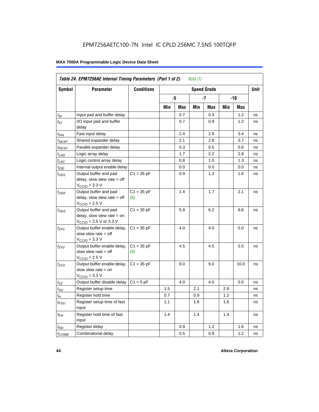| Symbol                      | <b>Parameter</b>                                                                                             | <b>Conditions</b>   |     |     |     | <b>Speed Grade</b> |     |      | <b>Unit</b> |
|-----------------------------|--------------------------------------------------------------------------------------------------------------|---------------------|-----|-----|-----|--------------------|-----|------|-------------|
|                             |                                                                                                              |                     |     | -5  |     | -7                 |     | -10  |             |
|                             |                                                                                                              |                     | Min | Max | Min | Max                | Min | Max  |             |
| $t_{IN}$                    | Input pad and buffer delay                                                                                   |                     |     | 0.7 |     | 0.9                |     | 1.2  | ns          |
| $t_{IO}$                    | I/O input pad and buffer<br>delay                                                                            |                     |     | 0.7 |     | 0.9                |     | 1.2  | ns          |
| t <sub>FIN</sub>            | Fast input delay                                                                                             |                     |     | 2.4 |     | 2.9                |     | 3.4  | ns          |
| $t_{SEXP}$                  | Shared expander delay                                                                                        |                     |     | 2.1 |     | 2.8                |     | 3.7  | ns          |
| t <sub>PEXP</sub>           | Parallel expander delay                                                                                      |                     |     | 0.3 |     | 0.5                |     | 0.6  | ns          |
| $t_{LAD}$                   | Logic array delay                                                                                            |                     |     | 1.7 |     | 2.2                |     | 2.8  | ns          |
| $t_{LAC}$                   | Logic control array delay                                                                                    |                     |     | 0.8 |     | 1.0                |     | 1.3  | ns          |
| $t_{IOE}$                   | Internal output enable delay                                                                                 |                     |     | 0.0 |     | 0.0                |     | 0.0  | ns          |
| $t_{OD1}$                   | Output buffer and pad<br>delay, slow slew rate $=$ off<br>$VCClO = 3.3 V$                                    | $C1 = 35 pF$        |     | 0.9 |     | 1.2                |     | 1.6  | ns          |
| $t_{OD2}$                   | Output buffer and pad<br>delay, slow slew rate $=$ off<br>$V_{\rm CClO}$ = 2.5 V                             | $C1 = 35 pF$<br>(5) |     | 1.4 |     | 1.7                |     | 2.1  | ns          |
| $t_{OD3}$                   | Output buffer and pad<br>delay, slow slew rate $=$ on<br>$V_{\text{CCIO}} = 2.5 \text{ V or } 3.3 \text{ V}$ | $C1 = 35 pF$        |     | 5.9 |     | 6.2                |     | 6.6  | ns          |
| t <sub>ZX1</sub>            | Output buffer enable delay,<br>slow slew rate $=$ off<br>$VCCIO = 3.3 V$                                     | $C1 = 35 pF$        |     | 4.0 |     | 4.0                |     | 5.0  | ns          |
| t <sub>ZX2</sub>            | Output buffer enable delay,<br>slow slew rate $=$ off<br>$V_{\rm CClO}$ = 2.5 V                              | $C1 = 35 pF$<br>(5) |     | 4.5 |     | 4.5                |     | 5.5  | ns          |
| $t_{ZX3}$                   | Output buffer enable delay,<br>slow slew rate $=$ on<br>$VCCIO = 3.3 V$                                      | $C1 = 35 pF$        |     | 9.0 |     | 9.0                |     | 10.0 | ns          |
| $t_{XZ}$                    | Output buffer disable delay                                                                                  | $C1 = 5pF$          |     | 4.0 |     | 4.0                |     | 5.0  | ns          |
| $t_{\scriptstyle\text{SU}}$ | Register setup time                                                                                          |                     | 1.5 |     | 2.1 |                    | 2.9 |      | ns          |
| $t_H$                       | Register hold time                                                                                           |                     | 0.7 |     | 0.9 |                    | 1.2 |      | ns          |
| $t_{\it FSU}$               | Register setup time of fast<br>input                                                                         |                     | 1.1 |     | 1.6 |                    | 1.6 |      | ns          |
| $t_{FH}$                    | Register hold time of fast<br>input                                                                          |                     | 1.4 |     | 1.4 |                    | 1.4 |      | ns          |
| $t_{RD}$                    | Register delay                                                                                               |                     |     | 0.9 |     | 1.2                |     | 1.6  | ns          |
| $t_{\text{COMB}}$           | Combinatorial delay                                                                                          |                     |     | 0.5 |     | 0.8                |     | 1.2  | ns          |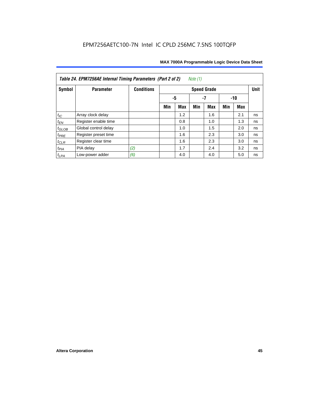| Table 24. EPM7256AE Internal Timing Parameters (Part 2 of 2)<br>Note (1) |                      |                   |                   |     |     |                    |     |     |             |  |
|--------------------------------------------------------------------------|----------------------|-------------------|-------------------|-----|-----|--------------------|-----|-----|-------------|--|
| Symbol                                                                   | <b>Parameter</b>     | <b>Conditions</b> |                   |     |     | <b>Speed Grade</b> |     |     | <b>Unit</b> |  |
|                                                                          |                      |                   | -5<br>-7<br>$-10$ |     |     |                    |     |     |             |  |
|                                                                          |                      |                   | Min               | Max | Min | Max                | Min | Max |             |  |
| $t_{\mathit{IC}}$                                                        | Array clock delay    |                   |                   | 1.2 |     | 1.6                |     | 2.1 | ns          |  |
| $t_{EN}$                                                                 | Register enable time |                   |                   | 0.8 |     | 1.0                |     | 1.3 | ns          |  |
| $t_{GLOB}$                                                               | Global control delay |                   |                   | 1.0 |     | 1.5                |     | 2.0 | ns          |  |
| $t_{PRE}$                                                                | Register preset time |                   |                   | 1.6 |     | 2.3                |     | 3.0 | ns          |  |
| $t_{CLR}$                                                                | Register clear time  |                   |                   | 1.6 |     | 2.3                |     | 3.0 | ns          |  |
| $t_{PIA}$                                                                | PIA delay            | (2)               |                   | 1.7 |     | 2.4                |     | 3.2 | ns          |  |
| $t_{LPA}$                                                                | Low-power adder      | (6)               |                   | 4.0 |     | 4.0                |     | 5.0 | ns          |  |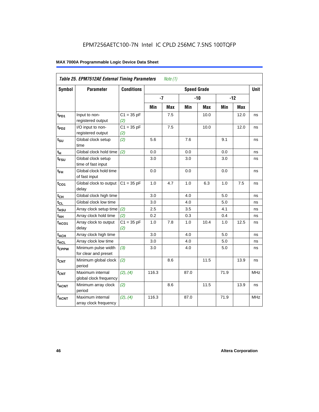| Table 25. EPM7512AE External Timing Parameters<br>Note $(1)$ |                                             |                     |       |            |                    |            |      |       |             |  |
|--------------------------------------------------------------|---------------------------------------------|---------------------|-------|------------|--------------------|------------|------|-------|-------------|--|
| Symbol                                                       | <b>Parameter</b>                            | <b>Conditions</b>   |       |            | <b>Speed Grade</b> |            |      |       | <b>Unit</b> |  |
|                                                              |                                             |                     | $-7$  |            |                    | $-10$      |      | $-12$ |             |  |
|                                                              |                                             |                     | Min   | <b>Max</b> | Min                | <b>Max</b> | Min  | Max   |             |  |
| $t_{PD1}$                                                    | Input to non-<br>registered output          | $C1 = 35 pF$<br>(2) |       | 7.5        |                    | 10.0       |      | 12.0  | ns          |  |
| $t_{PD2}$                                                    | I/O input to non-<br>registered output      | $C1 = 35 pF$<br>(2) |       | 7.5        |                    | 10.0       |      | 12.0  | ns          |  |
| $t_{\scriptstyle\text{SU}}$                                  | Global clock setup<br>time                  | (2)                 | 5.6   |            | 7.6                |            | 9.1  |       | ns          |  |
| $t_H$                                                        | Global clock hold time                      | (2)                 | 0.0   |            | 0.0                |            | 0.0  |       | ns          |  |
| t <sub>FSU</sub>                                             | Global clock setup<br>time of fast input    |                     | 3.0   |            | 3.0                |            | 3.0  |       | ns          |  |
| $t_{FH}$                                                     | Global clock hold time<br>of fast input     |                     | 0.0   |            | 0.0                |            | 0.0  |       | ns          |  |
| $t_{CO1}$                                                    | Global clock to output<br>delay             | $C1 = 35 pF$        | 1.0   | 4.7        | 1.0                | 6.3        | 1.0  | 7.5   | ns          |  |
| $t_{CH}$                                                     | Global clock high time                      |                     | 3.0   |            | 4.0                |            | 5.0  |       | ns          |  |
| $t_{CL}$                                                     | Global clock low time                       |                     | 3.0   |            | 4.0                |            | 5.0  |       | ns          |  |
| $t_{ASU}$                                                    | Array clock setup time                      | (2)                 | 2.5   |            | 3.5                |            | 4.1  |       | ns          |  |
| t <sub>АН</sub>                                              | Array clock hold time                       | (2)                 | 0.2   |            | 0.3                |            | 0.4  |       | ns          |  |
| $t_{ACO1}$                                                   | Array clock to output<br>delay              | $C1 = 35 pF$<br>(2) | 1.0   | 7.8        | 1.0                | 10.4       | 1.0  | 12.5  | ns          |  |
| $t_{ACH}$                                                    | Array clock high time                       |                     | 3.0   |            | 4.0                |            | 5.0  |       | ns          |  |
| $t_{ACL}$                                                    | Array clock low time                        |                     | 3.0   |            | 4.0                |            | 5.0  |       | ns          |  |
| t <sub>CPPW</sub>                                            | Minimum pulse width<br>for clear and preset | (3)                 | 3.0   |            | 4.0                |            | 5.0  |       | ns          |  |
| t <sub>CNT</sub>                                             | Minimum global clock<br>period              | (2)                 |       | 8.6        |                    | 11.5       |      | 13.9  | ns          |  |
| $f_{CNT}$                                                    | Maximum internal<br>global clock frequency  | (2), (4)            | 116.3 |            | 87.0               |            | 71.9 |       | <b>MHz</b>  |  |
| $t_{ACNT}$                                                   | Minimum array clock<br>period               | (2)                 |       | 8.6        |                    | 11.5       |      | 13.9  | ns          |  |
| <b>fACNT</b>                                                 | Maximum internal<br>array clock frequency   | (2), (4)            | 116.3 |            | 87.0               |            | 71.9 |       | <b>MHz</b>  |  |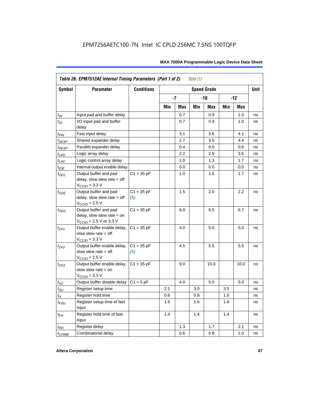|                   | Table 26. EPM7512AE Internal Timing Parameters (Part 1 of 2)<br>Note $(1)$                                   |                     |     |      |     |                    |     |       |             |  |  |
|-------------------|--------------------------------------------------------------------------------------------------------------|---------------------|-----|------|-----|--------------------|-----|-------|-------------|--|--|
| Symbol            | <b>Parameter</b>                                                                                             | <b>Conditions</b>   |     |      |     | <b>Speed Grade</b> |     |       | <b>Unit</b> |  |  |
|                   |                                                                                                              |                     |     | $-7$ |     | $-10$              |     | $-12$ |             |  |  |
|                   |                                                                                                              |                     | Min | Max  | Min | Max                | Min | Max   |             |  |  |
| $t_{IN}$          | Input pad and buffer delay                                                                                   |                     |     | 0.7  |     | 0.9                |     | 1.0   | ns          |  |  |
| $t_{IO}$          | I/O input pad and buffer<br>delay                                                                            |                     |     | 0.7  |     | 0.9                |     | 1.0   | ns          |  |  |
| $t_{\sf FIN}$     | Fast input delay                                                                                             |                     |     | 3.1  |     | 3.6                |     | 4.1   | ns          |  |  |
| $t_{SEXP}$        | Shared expander delay                                                                                        |                     |     | 2.7  |     | 3.5                |     | 4.4   | ns          |  |  |
| t <sub>PEXP</sub> | Parallel expander delay                                                                                      |                     |     | 0.4  |     | 0.5                |     | 0.6   | ns          |  |  |
| $t_{LAD}$         | Logic array delay                                                                                            |                     |     | 2.2  |     | 2.8                |     | 3.5   | ns          |  |  |
| $t_{LAC}$         | Logic control array delay                                                                                    |                     |     | 1.0  |     | 1.3                |     | 1.7   | ns          |  |  |
| $t_{IOE}$         | Internal output enable delay                                                                                 |                     |     | 0.0  |     | 0.0                |     | 0.0   | ns          |  |  |
| $t_{OD1}$         | Output buffer and pad<br>delay, slow slew rate $=$ off<br>$V_{\text{CCIO}} = 3.3 \text{ V}$                  | $C1 = 35 pF$        |     | 1.0  |     | 1.5                |     | 1.7   | ns          |  |  |
| $t_{OD2}$         | Output buffer and pad<br>delay, slow slew rate $=$ off<br>$VCCIO = 2.5 V$                                    | $C1 = 35 pF$<br>(5) |     | 1.5  |     | 2.0                |     | 2.2   | ns          |  |  |
| $t_{OD3}$         | Output buffer and pad<br>delay, slow slew rate $=$ on<br>$V_{\text{CCIO}} = 2.5 \text{ V or } 3.3 \text{ V}$ | $C1 = 35 pF$        |     | 6.0  |     | 6.5                |     | 6.7   | ns          |  |  |
| $t_{ZX1}$         | Output buffer enable delay,<br>slow slew rate $=$ off<br>$V_{\text{CCIO}} = 3.3 \text{ V}$                   | $C1 = 35 pF$        |     | 4.0  |     | 5.0                |     | 5.0   | ns          |  |  |
| $t_{ZX2}$         | Output buffer enable delay,<br>slow slew rate $=$ off<br>$V_{\text{CCIO}}$ = 2.5 V                           | $C1 = 35 pF$<br>(5) |     | 4.5  |     | 5.5                |     | 5.5   | ns          |  |  |
| $t_{ZX3}$         | Output buffer enable delay,<br>slow slew rate $=$ on<br>$V_{\text{CCIO}} = 3.3 \text{ V}$                    | $C1 = 35 pF$        |     | 9.0  |     | 10.0               |     | 10.0  | ns          |  |  |
| $t_{XZ}$          | Output buffer disable delay                                                                                  | $C1 = 5pF$          |     | 4.0  |     | 5.0                |     | 5.0   | ns          |  |  |
| $t_{\text{SU}}$   | Register setup time                                                                                          |                     | 2.1 |      | 3.0 |                    | 3.5 |       | ns          |  |  |
| $t_H$             | Register hold time                                                                                           |                     | 0.6 |      | 0.8 |                    | 1.0 |       | ns          |  |  |
| $t_{FSU}$         | Register setup time of fast<br>input                                                                         |                     | 1.6 |      | 1.6 |                    | 1.6 |       | ns          |  |  |
| $t_{FH}$          | Register hold time of fast<br>input                                                                          |                     | 1.4 |      | 1.4 |                    | 1.4 |       | ns          |  |  |
| $t_{RD}$          | Register delay                                                                                               |                     |     | 1.3  |     | 1.7                |     | 2.1   | ns          |  |  |
| $t_{COMB}$        | Combinatorial delay                                                                                          |                     |     | 0.6  |     | 0.8                |     | 1.0   | ns          |  |  |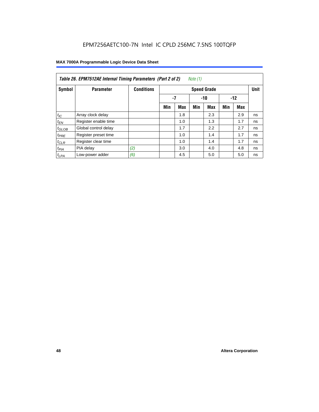| Table 26. EPM7512AE Internal Timing Parameters (Part 2 of 2)<br>Note (1) |                      |                   |     |            |     |                    |     |       |             |  |  |
|--------------------------------------------------------------------------|----------------------|-------------------|-----|------------|-----|--------------------|-----|-------|-------------|--|--|
| Symbol                                                                   | <b>Parameter</b>     | <b>Conditions</b> |     |            |     | <b>Speed Grade</b> |     |       | <b>Unit</b> |  |  |
|                                                                          |                      |                   | -7  |            |     | $-10$              |     | $-12$ |             |  |  |
|                                                                          |                      |                   | Min | <b>Max</b> | Min | Max                | Min | Max   |             |  |  |
| $t_{IC}$                                                                 | Array clock delay    |                   |     | 1.8        |     | 2.3                |     | 2.9   | ns          |  |  |
| $t_{EN}$                                                                 | Register enable time |                   |     | 1.0        |     | 1.3                |     | 1.7   | ns          |  |  |
| $t_{GLOB}$                                                               | Global control delay |                   |     | 1.7        |     | 2.2                |     | 2.7   | ns          |  |  |
| $t_{PRE}$                                                                | Register preset time |                   |     | 1.0        |     | 1.4                |     | 1.7   | ns          |  |  |
| $t_{CLR}$                                                                | Register clear time  |                   |     | 1.0        |     | 1.4                |     | 1.7   | ns          |  |  |
| t <sub>PIA</sub>                                                         | PIA delay            | (2)               |     | 3.0        |     | 4.0                |     | 4.8   | ns          |  |  |
| $t_{LPA}$                                                                | Low-power adder      | (6)               |     | 4.5        |     | 5.0                |     | 5.0   | ns          |  |  |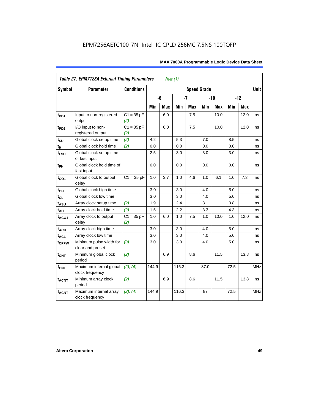| <b>Table 27. EPM7128A External Timing Parameters</b><br>Note (1) |                                             |                     |         |            |       |            |                    |            |      |       |             |
|------------------------------------------------------------------|---------------------------------------------|---------------------|---------|------------|-------|------------|--------------------|------------|------|-------|-------------|
| Symbol                                                           | <b>Parameter</b>                            | <b>Conditions</b>   |         |            |       |            | <b>Speed Grade</b> |            |      |       | <b>Unit</b> |
|                                                                  |                                             |                     |         | -6         | $-7$  |            |                    | $-10$      |      | $-12$ |             |
|                                                                  |                                             |                     | Min     | <b>Max</b> | Min   | <b>Max</b> | Min                | <b>Max</b> | Min  | Max   |             |
| t <sub>PD1</sub>                                                 | Input to non-registered<br>output           | $C1 = 35 pF$<br>(2) |         | 6.0        |       | 7.5        |                    | 10.0       |      | 12.0  | ns          |
| t <sub>PD2</sub>                                                 | I/O input to non-<br>registered output      | $C1 = 35 pF$<br>(2) |         | 6.0        |       | 7.5        |                    | 10.0       |      | 12.0  | ns          |
| $t_{\text{SU}}$                                                  | Global clock setup time                     | (2)                 | 4.2     |            | 5.3   |            | 7.0                |            | 8.5  |       | ns          |
| $t_H$                                                            | Global clock hold time                      | (2)                 | 0.0     |            | 0.0   |            | 0.0                |            | 0.0  |       | ns          |
| t <sub>FSU</sub>                                                 | Global clock setup time<br>of fast input    |                     | $2.5\,$ |            | 3.0   |            | 3.0                |            | 3.0  |       | ns          |
| $t_{FH}$                                                         | Global clock hold time of<br>fast input     |                     | 0.0     |            | 0.0   |            | 0.0                |            | 0.0  |       | ns          |
| $t_{CO1}$                                                        | Global clock to output<br>delay             | $C1 = 35 pF$        | 1.0     | 3.7        | 1.0   | 4.6        | 1.0                | 6.1        | 1.0  | 7.3   | ns          |
| $t_{CH}$                                                         | Global clock high time                      |                     | 3.0     |            | 3.0   |            | 4.0                |            | 5.0  |       | ns          |
| $t_{CL}$                                                         | Global clock low time                       |                     | 3.0     |            | 3.0   |            | 4.0                |            | 5.0  |       | ns          |
| t <sub>ASU</sub>                                                 | Array clock setup time                      | (2)                 | 1.9     |            | 2.4   |            | 3.1                |            | 3.8  |       | ns          |
| $t_{\underline{AH}}$                                             | Array clock hold time                       | (2)                 | 1.5     |            | 2.2   |            | 3.3                |            | 4.3  |       | ns          |
| t <sub>ACO1</sub>                                                | Array clock to output<br>delay              | $C1 = 35 pF$<br>(2) | 1.0     | 6.0        | 1.0   | 7.5        | 1.0                | 10.0       | 1.0  | 12.0  | ns          |
| $t_{ACH}$                                                        | Array clock high time                       |                     | 3.0     |            | 3.0   |            | 4.0                |            | 5.0  |       | ns          |
| t <sub>ACL</sub>                                                 | Array clock low time                        |                     | 3.0     |            | 3.0   |            | 4.0                |            | 5.0  |       | ns          |
| t <sub>CPPW</sub>                                                | Minimum pulse width for<br>clear and preset | (3)                 | 3.0     |            | 3.0   |            | 4.0                |            | 5.0  |       | ns          |
| $t_{\text{CNT}}$                                                 | Minimum global clock<br>period              | (2)                 |         | 6.9        |       | 8.6        |                    | 11.5       |      | 13.8  | ns          |
| $f_{\text{CNT}}$                                                 | Maximum internal global<br>clock frequency  | (2), (4)            | 144.9   |            | 116.3 |            | 87.0               |            | 72.5 |       | MHz         |
| <b>t<sub>ACNT</sub></b>                                          | Minimum array clock<br>period               | (2)                 |         | 6.9        |       | 8.6        |                    | 11.5       |      | 13.8  | ns          |
| <b>fACNT</b>                                                     | Maximum internal array<br>clock frequency   | (2), (4)            | 144.9   |            | 116.3 |            | 87                 |            | 72.5 |       | <b>MHz</b>  |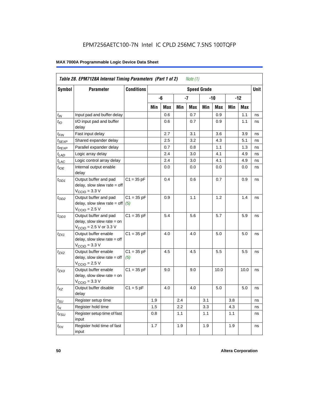|                             | Table 28. EPM7128A Internal Timing Parameters (Part 1 of 2)<br>Note $(1)$                                    |                         |     |            |     |            |                    |      |     |            |      |
|-----------------------------|--------------------------------------------------------------------------------------------------------------|-------------------------|-----|------------|-----|------------|--------------------|------|-----|------------|------|
| Symbol                      | <b>Parameter</b>                                                                                             | <b>Conditions</b>       |     |            |     |            | <b>Speed Grade</b> |      |     |            | Unit |
|                             |                                                                                                              |                         |     | -6         |     | -7         | -10                |      | -12 |            |      |
|                             |                                                                                                              |                         | Min | <b>Max</b> | Min | <b>Max</b> | Min                | Max  | Min | <b>Max</b> |      |
| $t_{\mathsf{IN}}$           | Input pad and buffer delay                                                                                   |                         |     | 0.6        |     | 0.7        |                    | 0.9  |     | 1.1        | ns   |
| $t_{IO}$                    | I/O input pad and buffer<br>delay                                                                            |                         |     | 0.6        |     | 0.7        |                    | 0.9  |     | 1.1        | ns   |
| t <sub>FIN</sub>            | Fast input delay                                                                                             |                         |     | 2.7        |     | 3.1        |                    | 3.6  |     | 3.9        | ns   |
| $t_{SEXP}$                  | Shared expander delay                                                                                        |                         |     | 2.5        |     | 3.2        |                    | 4.3  |     | 5.1        | ns   |
| t <sub>PEXP</sub>           | Parallel expander delay                                                                                      |                         |     | 0.7        |     | 0.8        |                    | 1.1  |     | 1.3        | ns   |
| $t_{LAD}$                   | Logic array delay                                                                                            |                         |     | 2.4        |     | 3.0        |                    | 4.1  |     | 4.9        | ns   |
| $t_{LAC}$                   | Logic control array delay                                                                                    |                         |     | 2.4        |     | 3.0        |                    | 4.1  |     | 4.9        | ns   |
| $t_{IOE}$                   | Internal output enable<br>delay                                                                              |                         |     | 0.0        |     | 0.0        |                    | 0.0  |     | 0.0        | ns   |
| $t_{OD1}$                   | Output buffer and pad<br>delay, slow slew rate $=$ off<br>$V_{\text{CCIO}} = 3.3 \text{ V}$                  | $C1 = 35 pF$            |     | 0.4        |     | 0.6        |                    | 0.7  |     | 0.9        | ns   |
| $t_{OD2}$                   | Output buffer and pad<br>delay, slow slew rate $=$ off<br>$VCCIO = 2.5 V$                                    | $C1 = 35 pF$<br>(5)     |     | 0.9        |     | 1.1        |                    | 1.2  |     | 1.4        | ns   |
| $t_{OD3}$                   | Output buffer and pad<br>delay, slow slew rate $=$ on<br>$V_{\text{CCIO}} = 2.5 \text{ V or } 3.3 \text{ V}$ | $C1 = 35 pF$            |     | 5.4        |     | 5.6        |                    | 5.7  |     | 5.9        | ns   |
| $t_{ZX1}$                   | Output buffer enable<br>$delay$ , slow slew rate = off<br>$V_{\text{CCIO}} = 3.3 \text{ V}$                  | $C1 = 35 pF$            |     | 4.0        |     | 4.0        |                    | 5.0  |     | 5.0        | ns   |
| t <sub>ZX2</sub>            | Output buffer enable<br>$delay$ , slow slew rate = off<br>$VCCIO = 2.5 V$                                    | $C1 = 35 pF$<br>(5)     |     | 4.5        |     | 4.5        |                    | 5.5  |     | 5.5        | ns   |
| $t_{ZX3}$                   | Output buffer enable<br>delay, slow slew rate $=$ on<br>$VCCIO = 3.3 V$                                      | $\overline{C1}$ = 35 pF |     | 9.0        |     | 9.0        |                    | 10.0 |     | 10.0       | ns   |
| $t_{\mathsf{XZ}}$           | Output buffer disable<br>delay                                                                               | $C1 = 5$ pF             |     | 4.0        |     | 4.0        |                    | 5.0  |     | 5.0        | ns   |
| $t_{\scriptstyle\text{SU}}$ | Register setup time                                                                                          |                         | 1.9 |            | 2.4 |            | 3.1                |      | 3.8 |            | ns   |
| $t_H$                       | Register hold time                                                                                           |                         | 1.5 |            | 2.2 |            | 3.3                |      | 4.3 |            | ns   |
| t <sub>FSU</sub>            | Register setup time of fast<br>input                                                                         |                         | 0.8 |            | 1.1 |            | 1.1                |      | 1.1 |            | ns   |
| $t_{FH}$                    | Register hold time of fast<br>input                                                                          |                         | 1.7 |            | 1.9 |            | 1.9                |      | 1.9 |            | ns   |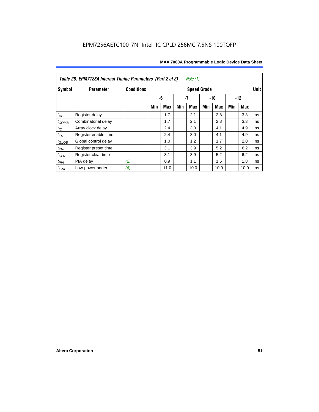| Note (1)<br>Table 28. EPM7128A Internal Timing Parameters (Part 2 of 2) |                      |                   |                    |            |     |            |       |            |       |             |    |
|-------------------------------------------------------------------------|----------------------|-------------------|--------------------|------------|-----|------------|-------|------------|-------|-------------|----|
| Symbol                                                                  | <b>Parameter</b>     | <b>Conditions</b> | <b>Speed Grade</b> |            |     |            |       |            |       | <b>Unit</b> |    |
|                                                                         |                      |                   |                    | -6         | -7  |            | $-10$ |            | $-12$ |             |    |
|                                                                         |                      |                   | Min                | <b>Max</b> | Min | <b>Max</b> | Min   | <b>Max</b> | Min   | Max         |    |
| $t_{RD}$                                                                | Register delay       |                   |                    | 1.7        |     | 2.1        |       | 2.8        |       | 3.3         | ns |
| $t_{COMB}$                                                              | Combinatorial delay  |                   |                    | 1.7        |     | 2.1        |       | 2.8        |       | 3.3         | ns |
| $t_{IC}$                                                                | Array clock delay    |                   |                    | 2.4        |     | 3.0        |       | 4.1        |       | 4.9         | ns |
| $t_{\mathsf{EN}}$                                                       | Register enable time |                   |                    | 2.4        |     | 3.0        |       | 4.1        |       | 4.9         | ns |
| $t_{GLOB}$                                                              | Global control delay |                   |                    | 1.0        |     | 1.2        |       | 1.7        |       | 2.0         | ns |
| $t_{PRE}$                                                               | Register preset time |                   |                    | 3.1        |     | 3.9        |       | 5.2        |       | 6.2         | ns |
| $t_{CLR}$                                                               | Register clear time  |                   |                    | 3.1        |     | 3.9        |       | 5.2        |       | 6.2         | ns |
| $t_{PIA}$                                                               | PIA delay            | (2)               |                    | 0.9        |     | 1.1        |       | 1.5        |       | 1.8         | ns |
| $t_{LPA}$                                                               | Low-power adder      | (6)               |                    | 11.0       |     | 10.0       |       | 10.0       |       | 10.0        | ns |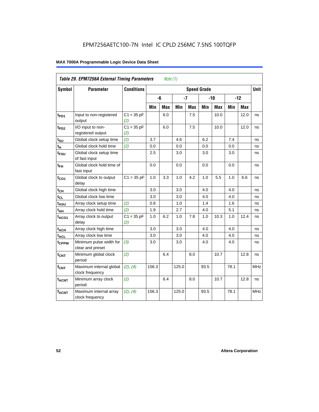| Table 29. EPM7256A External Timing Parameters<br>Note $(1)$ |                                             |                     |                    |     |       |            |       |            |       |      |             |
|-------------------------------------------------------------|---------------------------------------------|---------------------|--------------------|-----|-------|------------|-------|------------|-------|------|-------------|
| Symbol                                                      | <b>Parameter</b>                            | <b>Conditions</b>   | <b>Speed Grade</b> |     |       |            |       |            |       |      | <b>Unit</b> |
|                                                             |                                             |                     |                    | -6  | $-7$  |            | $-10$ |            | $-12$ |      |             |
|                                                             |                                             |                     | Min                | Max | Min   | <b>Max</b> | Min   | <b>Max</b> | Min   | Max  |             |
| t <sub>PD1</sub>                                            | Input to non-registered<br>output           | $C1 = 35 pF$<br>(2) |                    | 6.0 |       | 7.5        |       | 10.0       |       | 12.0 | ns          |
| t <sub>PD2</sub>                                            | I/O input to non-<br>registered output      | $C1 = 35 pF$<br>(2) |                    | 6.0 |       | 7.5        |       | 10.0       |       | 12.0 | ns          |
| $t_{\text{SU}}$                                             | Global clock setup time                     | (2)                 | 3.7                |     | 4.6   |            | 6.2   |            | 7.4   |      | ns          |
| $t_H$                                                       | Global clock hold time                      | (2)                 | 0.0                |     | 0.0   |            | 0.0   |            | 0.0   |      | ns          |
| $t_{\text{FSU}}$                                            | Global clock setup time<br>of fast input    |                     | 2.5                |     | 3.0   |            | 3.0   |            | 3.0   |      | ns          |
| $t_{FH}$                                                    | Global clock hold time of<br>fast input     |                     | 0.0                |     | 0.0   |            | 0.0   |            | 0.0   |      | ns          |
| $t_{CO1}$                                                   | Global clock to output<br>delay             | $C1 = 35 pF$        | 1.0                | 3.3 | 1.0   | 4.2        | 1.0   | 5.5        | 1.0   | 6.6  | ns          |
| $t_{CH}$                                                    | Global clock high time                      |                     | 3.0                |     | 3.0   |            | 4.0   |            | 4.0   |      | ns          |
| $t_{CL}$                                                    | Global clock low time                       |                     | 3.0                |     | 3.0   |            | 4.0   |            | 4.0   |      | ns          |
| t <sub>ASU</sub>                                            | Array clock setup time                      | (2)                 | 0.8                |     | 1.0   |            | 1.4   |            | 1.6   |      | ns          |
| $t_{AH}$                                                    | Array clock hold time                       | (2)                 | 1.9                |     | 2.7   |            | 4.0   |            | 5.1   |      | ns          |
| $t_{ACO1}$                                                  | Array clock to output<br>delay              | $C1 = 35 pF$<br>(2) | 1.0                | 6.2 | 1.0   | 7.8        | 1.0   | 10.3       | 1.0   | 12.4 | ns          |
| $t_{ACH}$                                                   | Array clock high time                       |                     | 3.0                |     | 3.0   |            | 4.0   |            | 4.0   |      | ns          |
| $t_{\text{ACL}}$                                            | Array clock low time                        |                     | 3.0                |     | 3.0   |            | 4.0   |            | 4.0   |      | ns          |
| t <sub>CPPW</sub>                                           | Minimum pulse width for<br>clear and preset | (3)                 | 3.0                |     | 3.0   |            | 4.0   |            | 4.0   |      | ns          |
| $t_{\text{CNT}}$                                            | Minimum global clock<br>period              | (2)                 |                    | 6.4 |       | 8.0        |       | 10.7       |       | 12.8 | ns          |
| $f_{CNT}$                                                   | Maximum internal global<br>clock frequency  | (2), (4)            | 156.3              |     | 125.0 |            | 93.5  |            | 78.1  |      | <b>MHz</b>  |
| t <sub>ACNT</sub>                                           | Minimum array clock<br>period               | (2)                 |                    | 6.4 |       | 8.0        |       | 10.7       |       | 12.8 | ns          |
| <b>fACNT</b>                                                | Maximum internal array<br>clock frequency   | (2), (4)            | 156.3              |     | 125.0 |            | 93.5  |            | 78.1  |      | <b>MHz</b>  |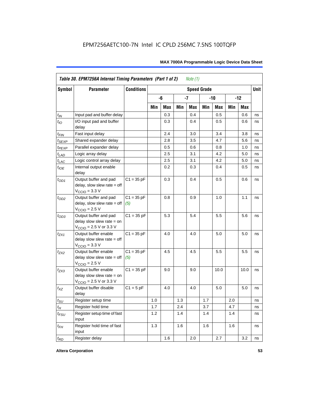| <b>Symbol</b>               | <b>Parameter</b>                                                                             | <b>Conditions</b><br><b>Speed Grade</b> |     |     |     |     |       |      |       |            | <b>Unit</b> |
|-----------------------------|----------------------------------------------------------------------------------------------|-----------------------------------------|-----|-----|-----|-----|-------|------|-------|------------|-------------|
|                             |                                                                                              |                                         |     | -6  |     | -7  | $-10$ |      | $-12$ |            |             |
|                             |                                                                                              |                                         | Min | Max | Min | Max | Min   | Max  | Min   | <b>Max</b> |             |
| $t_{IN}$                    | Input pad and buffer delay                                                                   |                                         |     | 0.3 |     | 0.4 |       | 0.5  |       | 0.6        | ns          |
| $t_{IO}$                    | I/O input pad and buffer<br>delay                                                            |                                         |     | 0.3 |     | 0.4 |       | 0.5  |       | 0.6        | ns          |
| t <sub>FIN</sub>            | Fast input delay                                                                             |                                         |     | 2.4 |     | 3.0 |       | 3.4  |       | 3.8        | ns          |
| t <sub>SEXP</sub>           | Shared expander delay                                                                        |                                         |     | 2.8 |     | 3.5 |       | 4.7  |       | 5.6        | ns          |
| t <sub>PEXP</sub>           | Parallel expander delay                                                                      |                                         |     | 0.5 |     | 0.6 |       | 0.8  |       | 1.0        | ns          |
| $t_{LAD}$                   | Logic array delay                                                                            |                                         |     | 2.5 |     | 3.1 |       | 4.2  |       | 5.0        | ns          |
| $t_{LAC}$                   | Logic control array delay                                                                    |                                         |     | 2.5 |     | 3.1 |       | 4.2  |       | 5.0        | ns          |
| $t_{IOE}$                   | Internal output enable<br>delay                                                              |                                         |     | 0.2 |     | 0.3 |       | 0.4  |       | 0.5        | ns          |
| $t_{OD1}$                   | Output buffer and pad<br>$delay$ , slow slew rate = off<br>$V_{\text{CCIO}} = 3.3 \text{ V}$ | $C1 = 35 pF$                            |     | 0.3 |     | 0.4 |       | 0.5  |       | 0.6        | ns          |
| $t_{OD2}$                   | Output buffer and pad<br>$delay$ , slow slew rate = off<br>$V_{\text{CCIO}} = 2.5 V$         | $C1 = 35 pF$<br>(5)                     |     | 0.8 |     | 0.9 |       | 1.0  |       | 1.1        | ns          |
| $t_{OD3}$                   | Output buffer and pad<br>delay slow slew rate $=$ on<br>$V_{\text{CCIO}}$ = 2.5 V or 3.3 V   | $C1 = 35 pF$                            |     | 5.3 |     | 5.4 |       | 5.5  |       | 5.6        | ns          |
| $t_{ZX1}$                   | Output buffer enable<br>delay slow slew rate $=$ off<br>$VCCIO = 3.3 V$                      | $C1 = 35 pF$                            |     | 4.0 |     | 4.0 |       | 5.0  |       | 5.0        | ns          |
| $t_{ZX2}$                   | Output buffer enable<br>delay slow slew rate $=$ off<br>$VCCIO = 2.5 V$                      | $C1 = 35 pF$<br>(5)                     |     | 4.5 |     | 4.5 |       | 5.5  |       | 5.5        | ns          |
| $t_{ZX3}$                   | Output buffer enable<br>delay slow slew rate $=$ on<br>$V_{\text{CCIO}}$ = 2.5 V or 3.3 V    | $C1 = 35 pF$                            |     | 9.0 |     | 9.0 |       | 10.0 |       | 10.0       | ns          |
| $t_{XZ}$                    | Output buffer disable<br>delay                                                               | $C1 = 5pF$                              |     | 4.0 |     | 4.0 |       | 5.0  |       | 5.0        | ns          |
| $t_{\scriptstyle\text{SU}}$ | Register setup time                                                                          |                                         | 1.0 |     | 1.3 |     | 1.7   |      | 2.0   |            | ns          |
| $t_{H}$                     | Register hold time                                                                           |                                         | 1.7 |     | 2.4 |     | 3.7   |      | 4.7   |            | ns          |
| $t_{FSU}$                   | Register setup time of fast<br>input                                                         |                                         | 1.2 |     | 1.4 |     | 1.4   |      | 1.4   |            | ns          |
| $t_{FH}$                    | Register hold time of fast<br>input                                                          |                                         | 1.3 |     | 1.6 |     | 1.6   |      | 1.6   |            | ns          |
| $t_{RD}$                    | Register delay                                                                               |                                         |     | 1.6 |     | 2.0 |       | 2.7  |       | 3.2        | ns          |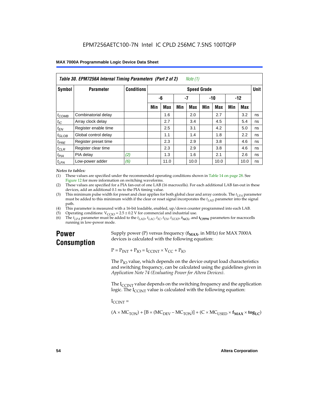| Table 30. EPM7256A Internal Timing Parameters (Part 2 of 2)<br>Note (1) |                      |                   |     |            |     |                    |     |            |       |      |             |
|-------------------------------------------------------------------------|----------------------|-------------------|-----|------------|-----|--------------------|-----|------------|-------|------|-------------|
| Symbol                                                                  | <b>Parameter</b>     | <b>Conditions</b> |     |            |     | <b>Speed Grade</b> |     |            |       |      | <b>Unit</b> |
|                                                                         |                      |                   | -6  |            | -7  |                    | -10 |            | $-12$ |      |             |
|                                                                         |                      |                   | Min | <b>Max</b> | Min | Max                | Min | <b>Max</b> | Min   | Max  |             |
| $t_{COMB}$                                                              | Combinatorial delay  |                   |     | 1.6        |     | 2.0                |     | 2.7        |       | 3.2  | ns          |
| $t_{\text{IC}}$                                                         | Array clock delay    |                   |     | 2.7        |     | 3.4                |     | 4.5        |       | 5.4  | ns          |
| $t_{EN}$                                                                | Register enable time |                   |     | 2.5        |     | 3.1                |     | 4.2        |       | 5.0  | ns          |
| $t_{GLOB}$                                                              | Global control delay |                   |     | 1.1        |     | 1.4                |     | 1.8        |       | 2.2  | ns          |
| $t_{PRE}$                                                               | Register preset time |                   |     | 2.3        |     | 2.9                |     | 3.8        |       | 4.6  | ns          |
| $t_{CLR}$                                                               | Register clear time  |                   |     | 2.3        |     | 2.9                |     | 3.8        |       | 4.6  | ns          |
| t <sub>PIA</sub>                                                        | PIA delay            | (2)               |     | 1.3        |     | 1.6                |     | 2.1        |       | 2.6  | ns          |
| $t_{LPA}$                                                               | Low-power adder      | (6)               |     | 11.0       |     | 10.0               |     | 10.0       |       | 10.0 | ns          |

#### *Notes to tables:*

(1) These values are specified under the recommended operating conditions shown in Table 14 on page 28. See Figure 12 for more information on switching waveforms.

- (2) These values are specified for a PIA fan-out of one LAB (16 macrocells). For each additional LAB fan-out in these devices, add an additional 0.1 ns to the PIA timing value.
- (3) This minimum pulse width for preset and clear applies for both global clear and array controls. The  $t_{LPA}$  parameter must be added to this minimum width if the clear or reset signal incorporates the  $t_{LAD}$  parameter into the signal path.
- (4) This parameter is measured with a 16-bit loadable, enabled, up/down counter programmed into each LAB.
- (5) Operating conditions:  $V_{\text{CCIO}} = 2.5 \pm 0.2 \text{ V}$  for commercial and industrial use.<br>(6) The  $t_{I/A}$  parameter must be added to the  $t_{I AD}$ ,  $t_{I AC}$ ,  $t_{I C}$ ,  $t_{F N}$ ,  $t_{S F Y P}$ ,  $t_{A C I}$ , and
- The  $t_{LPA}$  parameter must be added to the  $t_{LAD}$ ,  $t_{LAC}$ ,  $t_{IC}$ ,  $t_{EN}$ ,  $t_{SEXP}$ ,  $t_{ACL}$  and  $t_{CPPW}$  parameters for macrocells running in low-power mode.

## **Power Consumption**

Supply power (P) versus frequency  $(f_{MAX}$ , in MHz) for MAX 7000A devices is calculated with the following equation:

 $P = P_{INT} + P_{IO} = I_{CCINT} \times V_{CC} + P_{IO}$ 

The  $P_{IO}$  value, which depends on the device output load characteristics and switching frequency, can be calculated using the guidelines given in *Application Note 74 (Evaluating Power for Altera Devices)*.

The  $I_{\text{CUNT}}$  value depends on the switching frequency and the application logic. The  $I_{\text{CCINT}}$  value is calculated with the following equation:

 $I_{\text{CCMT}} =$ 

 $(A \times MC_{TON}) + [B \times (MC_{DEV} - MC_{TON})] + (C \times MC_{LISED} \times f_{MAX} \times tog_{LC})$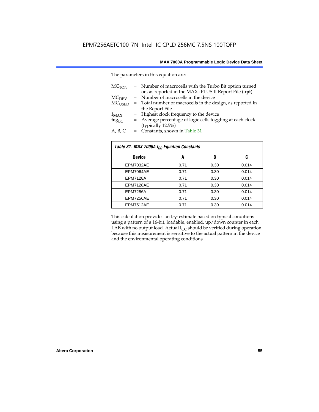The parameters in this equation are:

| MC <sub>TON</sub> | = Number of macrocells with the Turbo Bit option turned<br>on, as reported in the MAX+PLUS II Report File (.rpt) |
|-------------------|------------------------------------------------------------------------------------------------------------------|
| MC <sub>DFV</sub> | = Number of macrocells in the device                                                                             |
| $MC_{LISED}$      | = Total number of macrocells in the design, as reported in                                                       |
|                   | the Report File                                                                                                  |
| $f_{MAX}$         | = Highest clock frequency to the device                                                                          |
| $tog_{LC}$        | = Average percentage of logic cells toggling at each clock                                                       |
|                   | (typically 12.5%)                                                                                                |
| A, B, C           | = Constants, shown in Table 31                                                                                   |

| Table 31. MAX 7000A I <sub>CC</sub> Equation Constants |      |      |       |  |  |  |  |
|--------------------------------------------------------|------|------|-------|--|--|--|--|
| <b>Device</b>                                          | A    | B    | C     |  |  |  |  |
| EPM7032AE                                              | 0.71 | 0.30 | 0.014 |  |  |  |  |
| EPM7064AE                                              | 0.71 | 0.30 | 0.014 |  |  |  |  |
| <b>EPM7128A</b>                                        | 0.71 | 0.30 | 0.014 |  |  |  |  |
| EPM7128AE                                              | 0.71 | 0.30 | 0.014 |  |  |  |  |
| <b>EPM7256A</b>                                        | 0.71 | 0.30 | 0.014 |  |  |  |  |
| EPM7256AE                                              | 0.71 | 0.30 | 0.014 |  |  |  |  |
| EPM7512AE                                              | 0.71 | 0.30 | 0.014 |  |  |  |  |

This calculation provides an  $I_{CC}$  estimate based on typical conditions using a pattern of a 16-bit, loadable, enabled, up/down counter in each LAB with no output load. Actual  $I_{CC}$  should be verified during operation because this measurement is sensitive to the actual pattern in the device and the environmental operating conditions.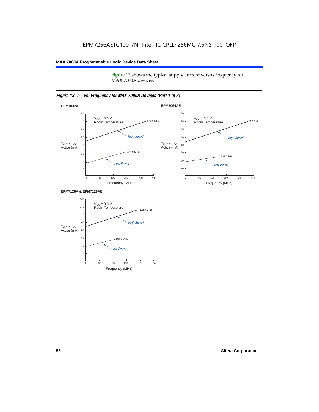Figure 13 shows the typical supply current versus frequency for MAX 7000A devices.

#### *Figure 13. I<sub>CC</sub> vs. Frequency for MAX 7000A Devices (Part 1 of 2)*



#### **EPM7128A & EPM7128AE**

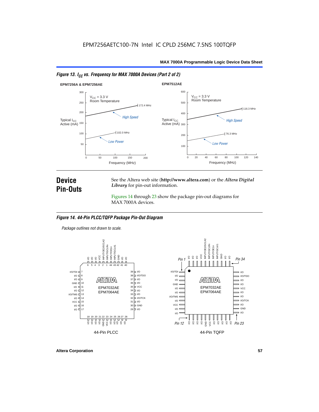



### **Device Pin-Outs**

See the Altera web site (**http://www.altera.com**) or the *Altera Digital Library* for pin-out information.

Figures 14 through 23 show the package pin-out diagrams for MAX 7000A devices.

#### *Figure 14. 44-Pin PLCC/TQFP Package Pin-Out Diagram*

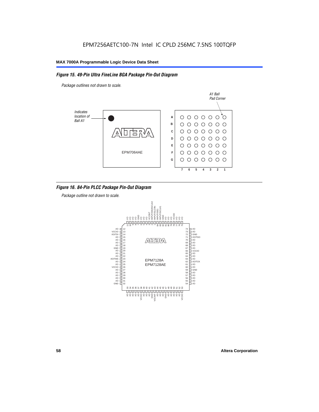#### *Figure 15. 49-Pin Ultra FineLine BGA Package Pin-Out Diagram*

*Package outlines not drawn to scale.*



#### *Figure 16. 84-Pin PLCC Package Pin-Out Diagram*

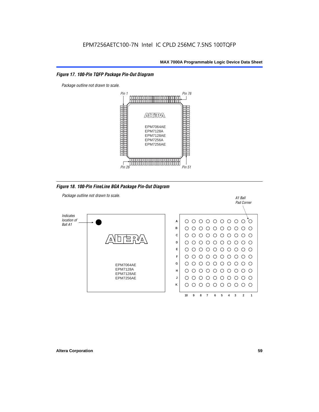#### *Figure 17. 100-Pin TQFP Package Pin-Out Diagram*



*Figure 18. 100-Pin FineLine BGA Package Pin-Out Diagram*

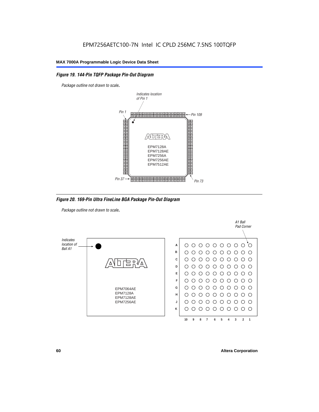#### *Figure 19. 144-Pin TQFP Package Pin-Out Diagram*

*Package outline not drawn to scale*.



*Figure 20. 169-Pin Ultra FineLine BGA Package Pin-Out Diagram*

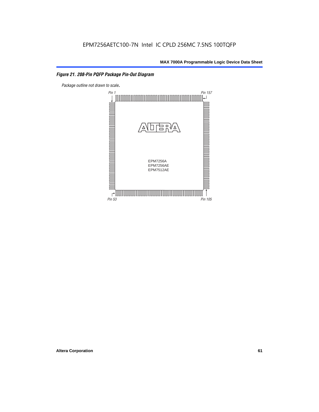#### *Figure 21. 208-Pin PQFP Package Pin-Out Diagram*

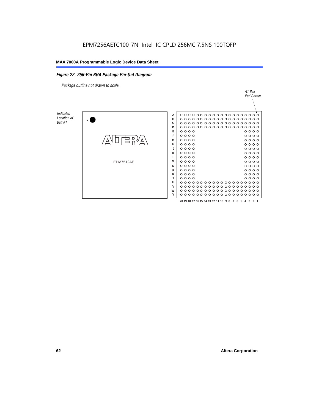#### *Figure 22. 256-Pin BGA Package Pin-Out Diagram*

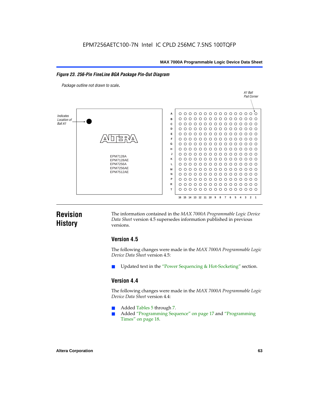#### *Figure 23. 256-Pin FineLine BGA Package Pin-Out Diagram*

*Package outline not drawn to scale*.



### **Revision History**

The information contained in the *MAX 7000A Programmable Logic Device Data Sheet* version 4.5 supersedes information published in previous versions.

#### **Version 4.5**

The following changes were made in the *MAX 7000A Programmable Logic Device Data Sheet* version 4.5:

Updated text in the "Power Sequencing & Hot-Socketing" section.

#### **Version 4.4**

The following changes were made in the *MAX 7000A Programmable Logic Device Data Sheet* version 4.4:

- Added Tables 5 through 7.
	- Added "Programming Sequence" on page 17 and "Programming Times" on page 18.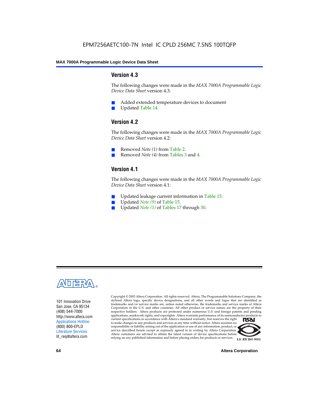#### **Version 4.3**

The following changes were made in the *MAX 7000A Programmable Logic Device Data Sheet* version 4.3:

- Added extended temperature devices to document
- Updated Table 14.

#### **Version 4.2**

The following changes were made in the *MAX 7000A Programmable Logic Device Data Sheet* version 4.2:

- Removed *Note (1)* from Table 2.
- Removed *Note (4)* from Tables 3 and 4.

#### **Version 4.1**

The following changes were made in the *MAX 7000A Programmable Logic Device Data Sheet* version 4.1:

- Updated leakage current information in Table 15.
- Updated *Note (9)* of Table 15.
- Updated *Note* (1) of Tables 17 through 30.



101 Innovation Drive San Jose, CA 95134 (408) 544-7000 http://www.altera.com Applications Hotline: (800) 800-EPLD Literature Services: lit\_req@altera.com

Copyright © 2003 Altera Corporation. All rights reserved. Altera, The Programmable Solutions Company, the stylized Altera logo, specific device designations, and all other words and logos that are identified as trademarks and/or service marks are, unless noted otherwise, the trademarks and service marks of Altera Corporation in the U.S. and other countries. All other product or service names are the property of their respective holders. Altera products are protected under numerous U.S. and foreign patents and pending applications, maskwork rights, and copyrights. Altera warrants performance of its semiconductor products to current specifications in accordance with Altera's standard warranty, but reserves the right **TSAI** to make changes to any products and services at any time without notice. Altera assumes no responsibility or liability arising out of the application or use of any information, product, or service described herein except as expressly agreed to in writing by Altera Corporation. Altera customers are advised to obtain the latest version of device specifications before relying on any published information and before placing orders for products or services.



**I.S. EN ISO 9001** 

**64 Altera Corporation**